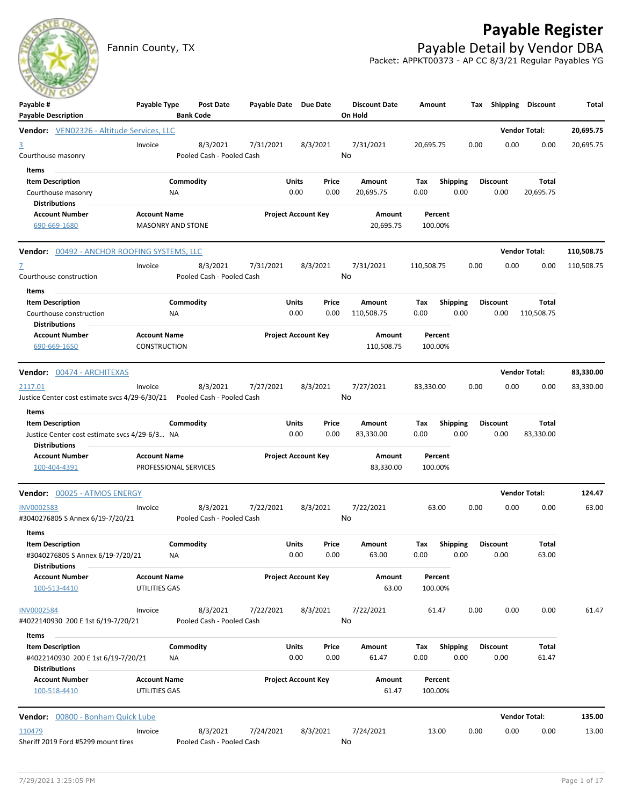# **Payable Register**



Fannin County, TX **Payable Detail by Vendor DBA** Packet: APPKT00373 - AP CC 8/3/21 Regular Payables YG

| Payable #<br><b>Payable Description</b>                                                            | Payable Type                             | <b>Post Date</b><br><b>Bank Code</b>  | Payable Date Due Date |                                | <b>Discount Date</b><br>On Hold | Amount                         |      |                         | Tax Shipping Discount | Total      |
|----------------------------------------------------------------------------------------------------|------------------------------------------|---------------------------------------|-----------------------|--------------------------------|---------------------------------|--------------------------------|------|-------------------------|-----------------------|------------|
| <b>Vendor:</b> VEN02326 - Altitude Services, LLC                                                   |                                          |                                       |                       |                                |                                 |                                |      |                         | <b>Vendor Total:</b>  | 20,695.75  |
| $\overline{3}$<br>Courthouse masonry                                                               | Invoice                                  | 8/3/2021<br>Pooled Cash - Pooled Cash | 7/31/2021             | 8/3/2021                       | 7/31/2021<br>No                 | 20,695.75                      | 0.00 | 0.00                    | 0.00                  | 20,695.75  |
| Items<br><b>Item Description</b><br>Courthouse masonry<br><b>Distributions</b>                     | ΝA                                       | Commodity                             |                       | Units<br>Price<br>0.00<br>0.00 | Amount<br>20,695.75             | <b>Shipping</b><br>Тах<br>0.00 | 0.00 | <b>Discount</b><br>0.00 | Total<br>20,695.75    |            |
| <b>Account Number</b><br>690-669-1680                                                              | <b>Account Name</b><br>MASONRY AND STONE |                                       |                       | <b>Project Account Key</b>     | Amount<br>20,695.75             | Percent<br>100.00%             |      |                         |                       |            |
| <b>Vendor: 00492 - ANCHOR ROOFING SYSTEMS, LLC</b>                                                 |                                          |                                       |                       |                                |                                 |                                |      |                         | <b>Vendor Total:</b>  | 110,508.75 |
| $\mathbf{Z}$<br>Courthouse construction<br>Items                                                   | Invoice                                  | 8/3/2021<br>Pooled Cash - Pooled Cash | 7/31/2021             | 8/3/2021                       | 7/31/2021<br>No                 | 110,508.75                     | 0.00 | 0.00                    | 0.00                  | 110,508.75 |
| <b>Item Description</b><br>Courthouse construction<br>Distributions                                | ΝA                                       | Commodity                             |                       | Units<br>Price<br>0.00<br>0.00 | Amount<br>110,508.75            | Shipping<br>Тах<br>0.00        | 0.00 | <b>Discount</b><br>0.00 | Total<br>110,508.75   |            |
| <b>Account Number</b><br>690-669-1650                                                              | <b>Account Name</b><br>CONSTRUCTION      |                                       |                       | <b>Project Account Key</b>     | Amount<br>110,508.75            | Percent<br>100.00%             |      |                         |                       |            |
| Vendor: 00474 - ARCHITEXAS                                                                         |                                          |                                       |                       |                                |                                 |                                |      |                         | <b>Vendor Total:</b>  | 83,330.00  |
| 2117.01<br>Justice Center cost estimate svcs 4/29-6/30/21                                          | Invoice                                  | 8/3/2021<br>Pooled Cash - Pooled Cash | 7/27/2021             | 8/3/2021                       | 7/27/2021<br>No                 | 83,330.00                      | 0.00 | 0.00                    | 0.00                  | 83,330.00  |
| Items<br><b>Item Description</b><br>Justice Center cost estimate svcs 4/29-6/3 NA<br>Distributions |                                          | Commodity                             |                       | Units<br>Price<br>0.00<br>0.00 | Amount<br>83,330.00             | <b>Shipping</b><br>Тах<br>0.00 | 0.00 | <b>Discount</b><br>0.00 | Total<br>83,330.00    |            |
| <b>Account Number</b><br>100-404-4391                                                              | <b>Account Name</b>                      | PROFESSIONAL SERVICES                 |                       | <b>Project Account Key</b>     | Amount<br>83,330.00             | Percent<br>100.00%             |      |                         |                       |            |
| Vendor: 00025 - ATMOS ENERGY                                                                       |                                          |                                       |                       |                                |                                 |                                |      |                         | <b>Vendor Total:</b>  | 124.47     |
| INV0002583<br>#3040276805 S Annex 6/19-7/20/21                                                     | Invoice                                  | 8/3/2021<br>Pooled Cash - Pooled Cash | 7/22/2021             | 8/3/2021                       | 7/22/2021<br>No                 | 63.00                          | 0.00 | 0.00                    | 0.00                  | 63.00      |
| Items<br><b>Item Description</b><br>#3040276805 S Annex 6/19-7/20/21<br><b>Distributions</b>       | ΝA                                       | Commodity                             |                       | Units<br>Price<br>0.00<br>0.00 | Amount<br>63.00                 | <b>Shipping</b><br>Tax<br>0.00 | 0.00 | <b>Discount</b><br>0.00 | Total<br>63.00        |            |
| <b>Account Number</b><br>100-513-4410                                                              | <b>Account Name</b><br>UTILITIES GAS     |                                       |                       | <b>Project Account Key</b>     | Amount<br>63.00                 | Percent<br>100.00%             |      |                         |                       |            |
| INV0002584<br>#4022140930 200 E 1st 6/19-7/20/21                                                   | Invoice                                  | 8/3/2021<br>Pooled Cash - Pooled Cash | 7/22/2021             | 8/3/2021                       | 7/22/2021<br>No                 | 61.47                          | 0.00 | 0.00                    | 0.00                  | 61.47      |
| Items<br><b>Item Description</b><br>#4022140930 200 E 1st 6/19-7/20/21<br><b>Distributions</b>     | NA                                       | Commodity                             |                       | Units<br>Price<br>0.00<br>0.00 | Amount<br>61.47                 | Shipping<br>Tax<br>0.00        | 0.00 | <b>Discount</b><br>0.00 | Total<br>61.47        |            |
| <b>Account Number</b><br>100-518-4410                                                              | <b>Account Name</b><br>UTILITIES GAS     |                                       |                       | <b>Project Account Key</b>     | Amount<br>61.47                 | Percent<br>100.00%             |      |                         |                       |            |
| <b>Vendor:</b> 00800 - Bonham Quick Lube                                                           |                                          |                                       |                       |                                |                                 |                                |      |                         | <b>Vendor Total:</b>  | 135.00     |
| 110479<br>Sheriff 2019 Ford #5299 mount tires                                                      | Invoice                                  | 8/3/2021<br>Pooled Cash - Pooled Cash | 7/24/2021             | 8/3/2021                       | 7/24/2021<br>No                 | 13.00                          | 0.00 | 0.00                    | 0.00                  | 13.00      |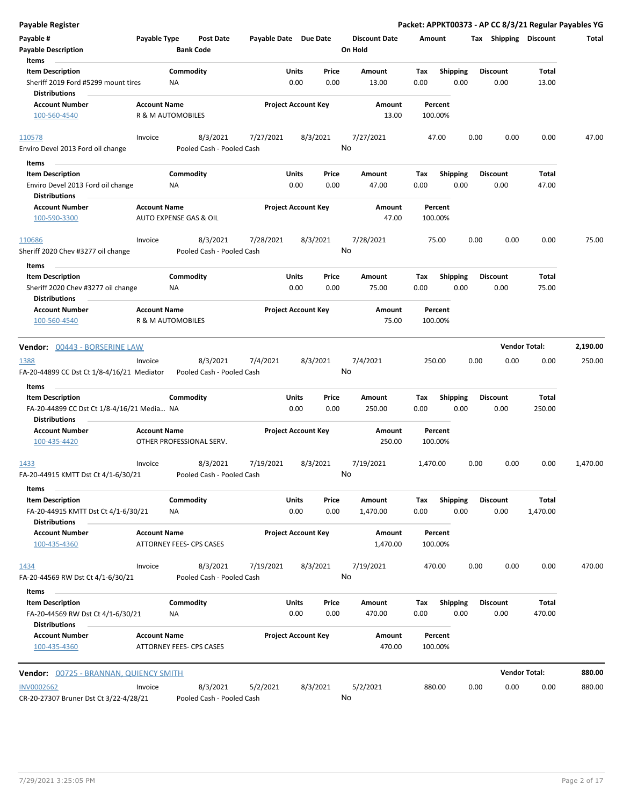| <b>Payable Register</b>                                                              |                     |                                       |                            |               |               |                                 |                    |                         |      |                         | Packet: APPKT00373 - AP CC 8/3/21 Regular Payables YG |          |
|--------------------------------------------------------------------------------------|---------------------|---------------------------------------|----------------------------|---------------|---------------|---------------------------------|--------------------|-------------------------|------|-------------------------|-------------------------------------------------------|----------|
| Payable #<br><b>Payable Description</b>                                              | Payable Type        | <b>Post Date</b><br><b>Bank Code</b>  | Payable Date Due Date      |               |               | <b>Discount Date</b><br>On Hold | Amount             |                         |      | Tax Shipping Discount   |                                                       | Total    |
| Items<br><b>Item Description</b>                                                     |                     | Commodity                             |                            | Units         | Price         | Amount                          | Tax                | <b>Shipping</b>         |      | <b>Discount</b>         | Total                                                 |          |
| Sheriff 2019 Ford #5299 mount tires<br><b>Distributions</b>                          |                     | NA                                    |                            | 0.00          | 0.00          | 13.00                           | 0.00               | 0.00                    |      | 0.00                    | 13.00                                                 |          |
| <b>Account Number</b>                                                                | <b>Account Name</b> |                                       | <b>Project Account Key</b> |               |               | Amount                          | Percent            |                         |      |                         |                                                       |          |
| 100-560-4540                                                                         |                     | R & M AUTOMOBILES                     |                            |               |               | 13.00                           | 100.00%            |                         |      |                         |                                                       |          |
| 110578<br>Enviro Devel 2013 Ford oil change                                          | Invoice             | 8/3/2021                              | 7/27/2021                  | 8/3/2021      | No            | 7/27/2021                       | 47.00              |                         | 0.00 | 0.00                    | 0.00                                                  | 47.00    |
|                                                                                      |                     | Pooled Cash - Pooled Cash             |                            |               |               |                                 |                    |                         |      |                         |                                                       |          |
| Items                                                                                |                     |                                       |                            |               |               |                                 |                    |                         |      |                         |                                                       |          |
| <b>Item Description</b><br>Enviro Devel 2013 Ford oil change<br><b>Distributions</b> |                     | Commodity<br>ΝA                       |                            | Units<br>0.00 | Price<br>0.00 | Amount<br>47.00                 | Tax<br>0.00        | <b>Shipping</b><br>0.00 |      | <b>Discount</b><br>0.00 | Total<br>47.00                                        |          |
| <b>Account Number</b><br>100-590-3300                                                | <b>Account Name</b> | AUTO EXPENSE GAS & OIL                | <b>Project Account Key</b> |               |               | Amount<br>47.00                 | Percent<br>100.00% |                         |      |                         |                                                       |          |
| 110686                                                                               | Invoice             | 8/3/2021                              | 7/28/2021                  | 8/3/2021      |               | 7/28/2021                       | 75.00              |                         | 0.00 | 0.00                    | 0.00                                                  | 75.00    |
| Sheriff 2020 Chev #3277 oil change                                                   |                     | Pooled Cash - Pooled Cash             |                            |               | No            |                                 |                    |                         |      |                         |                                                       |          |
| Items<br><b>Item Description</b>                                                     |                     | Commodity                             |                            | Units         | Price         | Amount                          | Tax                | Shipping                |      | <b>Discount</b>         | Total                                                 |          |
| Sheriff 2020 Chev #3277 oil change                                                   |                     | ΝA                                    |                            | 0.00          | 0.00          | 75.00                           | 0.00               | 0.00                    |      | 0.00                    | 75.00                                                 |          |
| <b>Distributions</b><br><b>Account Number</b>                                        | <b>Account Name</b> |                                       | <b>Project Account Key</b> |               |               | Amount                          | Percent            |                         |      |                         |                                                       |          |
| 100-560-4540                                                                         |                     | R & M AUTOMOBILES                     |                            |               |               | 75.00                           | 100.00%            |                         |      |                         |                                                       |          |
| Vendor: 00443 - BORSERINE LAW                                                        |                     |                                       |                            |               |               |                                 |                    |                         |      | <b>Vendor Total:</b>    |                                                       | 2,190.00 |
|                                                                                      |                     |                                       |                            |               |               |                                 |                    |                         |      |                         |                                                       |          |
| 1388<br>FA-20-44899 CC Dst Ct 1/8-4/16/21 Mediator                                   | Invoice             | 8/3/2021<br>Pooled Cash - Pooled Cash | 7/4/2021                   | 8/3/2021      | No            | 7/4/2021                        | 250.00             |                         | 0.00 | 0.00                    | 0.00                                                  | 250.00   |
| Items                                                                                |                     |                                       |                            |               |               |                                 |                    |                         |      |                         |                                                       |          |
| <b>Item Description</b>                                                              |                     | Commodity                             |                            | Units         | Price         | Amount                          | Tax                | <b>Shipping</b>         |      | <b>Discount</b>         | Total                                                 |          |
| FA-20-44899 CC Dst Ct 1/8-4/16/21 Media NA<br><b>Distributions</b>                   |                     |                                       |                            | 0.00          | 0.00          | 250.00                          | 0.00               | 0.00                    |      | 0.00                    | 250.00                                                |          |
| <b>Account Number</b>                                                                | <b>Account Name</b> |                                       | <b>Project Account Key</b> |               |               | Amount                          | Percent            |                         |      |                         |                                                       |          |
| 100-435-4420                                                                         |                     | OTHER PROFESSIONAL SERV.              |                            |               |               | 250.00                          | 100.00%            |                         |      |                         |                                                       |          |
| 1433                                                                                 | Invoice             | 8/3/2021                              | 7/19/2021                  | 8/3/2021      |               | 7/19/2021                       | 1,470.00           |                         | 0.00 | 0.00                    | 0.00                                                  | 1,470.00 |
| FA-20-44915 KMTT Dst Ct 4/1-6/30/21                                                  |                     | Pooled Cash - Pooled Cash             |                            |               |               | No                              |                    |                         |      |                         |                                                       |          |
| Items<br><b>Item Description</b>                                                     |                     | Commodity                             |                            | Units         | Price         | Amount                          | Tax                | <b>Shipping</b>         |      | Discount                | Total                                                 |          |
| FA-20-44915 KMTT Dst Ct 4/1-6/30/21<br><b>Distributions</b>                          |                     | ΝA                                    |                            | 0.00          | 0.00          | 1,470.00                        | 0.00               | 0.00                    |      | 0.00                    | 1,470.00                                              |          |
| <b>Account Number</b>                                                                | <b>Account Name</b> |                                       | <b>Project Account Key</b> |               |               | Amount                          | Percent            |                         |      |                         |                                                       |          |
| 100-435-4360                                                                         |                     | ATTORNEY FEES- CPS CASES              |                            |               |               | 1,470.00                        | 100.00%            |                         |      |                         |                                                       |          |
| 1434                                                                                 | Invoice             | 8/3/2021                              | 7/19/2021                  | 8/3/2021      |               | 7/19/2021                       | 470.00             |                         | 0.00 | 0.00                    | 0.00                                                  | 470.00   |
| FA-20-44569 RW Dst Ct 4/1-6/30/21                                                    |                     | Pooled Cash - Pooled Cash             |                            |               | No            |                                 |                    |                         |      |                         |                                                       |          |
| Items<br><b>Item Description</b>                                                     |                     | Commodity                             |                            | Units         | Price         | Amount                          | Tax                | Shipping                |      | <b>Discount</b>         | Total                                                 |          |
| FA-20-44569 RW Dst Ct 4/1-6/30/21                                                    |                     | NA                                    |                            | 0.00          | 0.00          | 470.00                          | 0.00               | 0.00                    |      | 0.00                    | 470.00                                                |          |
| <b>Distributions</b><br><b>Account Number</b>                                        | <b>Account Name</b> |                                       | <b>Project Account Key</b> |               |               |                                 |                    |                         |      |                         |                                                       |          |
| 100-435-4360                                                                         |                     | ATTORNEY FEES- CPS CASES              |                            |               |               | Amount<br>470.00                | Percent<br>100.00% |                         |      |                         |                                                       |          |
| Vendor: 00725 - BRANNAN, QUIENCY SMITH                                               |                     |                                       |                            |               |               |                                 |                    |                         |      | <b>Vendor Total:</b>    |                                                       | 880.00   |
|                                                                                      |                     |                                       |                            |               |               |                                 |                    |                         |      |                         |                                                       |          |
| <b>INV0002662</b><br>CR-20-27307 Bruner Dst Ct 3/22-4/28/21                          | Invoice             | 8/3/2021<br>Pooled Cash - Pooled Cash | 5/2/2021                   | 8/3/2021      |               | 5/2/2021<br>No                  | 880.00             |                         | 0.00 | 0.00                    | 0.00                                                  | 880.00   |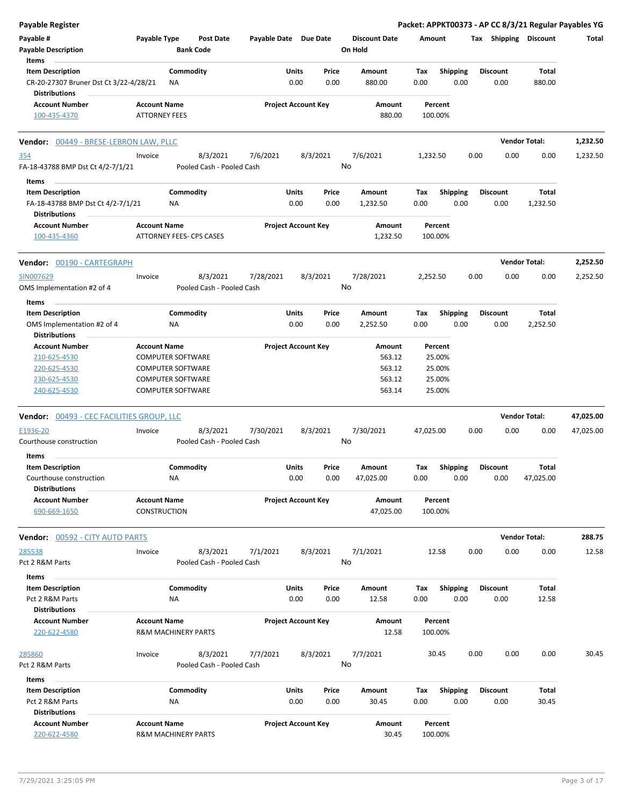| <b>Payable Register</b>                                        |                                                 |           |                                      |                       |              |                            |       |                                 |           |                    |                 |      |                 |                       | Packet: APPKT00373 - AP CC 8/3/21 Regular Payables YG |
|----------------------------------------------------------------|-------------------------------------------------|-----------|--------------------------------------|-----------------------|--------------|----------------------------|-------|---------------------------------|-----------|--------------------|-----------------|------|-----------------|-----------------------|-------------------------------------------------------|
| Payable #<br><b>Payable Description</b>                        | Payable Type                                    |           | <b>Post Date</b><br><b>Bank Code</b> | Payable Date Due Date |              |                            |       | <b>Discount Date</b><br>On Hold | Amount    |                    |                 |      |                 | Tax Shipping Discount | Total                                                 |
| Items                                                          |                                                 |           |                                      |                       |              |                            |       |                                 |           |                    |                 |      |                 |                       |                                                       |
| <b>Item Description</b>                                        |                                                 | Commodity |                                      |                       | Units        |                            | Price | Amount                          | Tax       |                    | <b>Shipping</b> |      | <b>Discount</b> | Total                 |                                                       |
| CR-20-27307 Bruner Dst Ct 3/22-4/28/21<br><b>Distributions</b> |                                                 | ΝA        |                                      |                       | 0.00         |                            | 0.00  | 880.00                          | 0.00      |                    | 0.00            |      | 0.00            | 880.00                |                                                       |
| <b>Account Number</b>                                          | <b>Account Name</b>                             |           |                                      |                       |              | <b>Project Account Key</b> |       | Amount                          |           | Percent            |                 |      |                 |                       |                                                       |
| 100-435-4370                                                   | <b>ATTORNEY FEES</b>                            |           |                                      |                       |              |                            |       | 880.00                          |           | 100.00%            |                 |      |                 |                       |                                                       |
| <b>Vendor: 00449 - BRESE-LEBRON LAW, PLLC</b>                  |                                                 |           |                                      |                       |              |                            |       |                                 |           |                    |                 |      |                 | <b>Vendor Total:</b>  | 1,232.50                                              |
| 354                                                            | Invoice                                         |           | 8/3/2021                             | 7/6/2021              |              | 8/3/2021                   |       | 7/6/2021                        | 1,232.50  |                    |                 | 0.00 | 0.00            | 0.00                  | 1,232.50                                              |
| FA-18-43788 BMP Dst Ct 4/2-7/1/21                              |                                                 |           | Pooled Cash - Pooled Cash            |                       |              |                            | No    |                                 |           |                    |                 |      |                 |                       |                                                       |
| Items                                                          |                                                 |           |                                      |                       |              |                            |       |                                 |           |                    |                 |      |                 |                       |                                                       |
| <b>Item Description</b>                                        |                                                 | Commodity |                                      |                       | Units        |                            | Price | Amount                          | Tax       | Shipping           |                 |      | <b>Discount</b> | Total                 |                                                       |
| FA-18-43788 BMP Dst Ct 4/2-7/1/21                              |                                                 | ΝA        |                                      |                       | 0.00         |                            | 0.00  | 1,232.50                        | 0.00      |                    | 0.00            |      | 0.00            | 1,232.50              |                                                       |
| <b>Distributions</b>                                           |                                                 |           |                                      |                       |              |                            |       |                                 |           |                    |                 |      |                 |                       |                                                       |
| <b>Account Number</b>                                          | <b>Account Name</b>                             |           |                                      |                       |              | <b>Project Account Key</b> |       | Amount                          |           | Percent            |                 |      |                 |                       |                                                       |
| 100-435-4360                                                   |                                                 |           | ATTORNEY FEES- CPS CASES             |                       |              |                            |       | 1,232.50                        |           | 100.00%            |                 |      |                 |                       |                                                       |
| Vendor: 00190 - CARTEGRAPH                                     |                                                 |           |                                      |                       |              |                            |       |                                 |           |                    |                 |      |                 | <b>Vendor Total:</b>  | 2,252.50                                              |
| SIN007629                                                      | Invoice                                         |           | 8/3/2021                             | 7/28/2021             |              | 8/3/2021                   |       | 7/28/2021                       | 2,252.50  |                    |                 | 0.00 | 0.00            | 0.00                  | 2,252.50                                              |
| OMS Implementation #2 of 4                                     |                                                 |           | Pooled Cash - Pooled Cash            |                       |              |                            | No    |                                 |           |                    |                 |      |                 |                       |                                                       |
| Items                                                          |                                                 |           |                                      |                       |              |                            |       |                                 |           |                    |                 |      |                 |                       |                                                       |
| <b>Item Description</b>                                        |                                                 | Commodity |                                      |                       | Units        |                            | Price | Amount                          | Tax       | <b>Shipping</b>    |                 |      | <b>Discount</b> | Total                 |                                                       |
| OMS Implementation #2 of 4                                     |                                                 | ΝA        |                                      |                       | 0.00         |                            | 0.00  | 2,252.50                        | 0.00      |                    | 0.00            |      | 0.00            | 2,252.50              |                                                       |
| <b>Distributions</b>                                           |                                                 |           |                                      |                       |              |                            |       |                                 |           |                    |                 |      |                 |                       |                                                       |
| <b>Account Number</b><br>210-625-4530                          | <b>Account Name</b><br><b>COMPUTER SOFTWARE</b> |           |                                      |                       |              | <b>Project Account Key</b> |       | Amount<br>563.12                |           | Percent<br>25.00%  |                 |      |                 |                       |                                                       |
| 220-625-4530                                                   | COMPUTER SOFTWARE                               |           |                                      |                       |              |                            |       | 563.12                          |           | 25.00%             |                 |      |                 |                       |                                                       |
| 230-625-4530                                                   | <b>COMPUTER SOFTWARE</b>                        |           |                                      |                       |              |                            |       | 563.12                          |           | 25.00%             |                 |      |                 |                       |                                                       |
| 240-625-4530                                                   | COMPUTER SOFTWARE                               |           |                                      |                       |              |                            |       | 563.14                          |           | 25.00%             |                 |      |                 |                       |                                                       |
|                                                                |                                                 |           |                                      |                       |              |                            |       |                                 |           |                    |                 |      |                 |                       |                                                       |
| Vendor: 00493 - CEC FACILITIES GROUP, LLC                      |                                                 |           |                                      |                       |              |                            |       |                                 |           |                    |                 |      |                 | <b>Vendor Total:</b>  | 47,025.00                                             |
| E1936-20                                                       | Invoice                                         |           | 8/3/2021                             | 7/30/2021             |              | 8/3/2021                   |       | 7/30/2021                       | 47,025.00 |                    |                 | 0.00 | 0.00            | 0.00                  | 47,025.00                                             |
| Courthouse construction                                        |                                                 |           | Pooled Cash - Pooled Cash            |                       |              |                            | No    |                                 |           |                    |                 |      |                 |                       |                                                       |
| Items                                                          |                                                 |           |                                      |                       |              |                            |       |                                 |           |                    |                 |      |                 |                       |                                                       |
| <b>Item Description</b>                                        |                                                 | Commodity |                                      |                       | <b>Units</b> |                            | Price | Amount                          | Tax       |                    | <b>Shipping</b> |      | <b>Discount</b> | Total                 |                                                       |
| Courthouse construction                                        |                                                 | NA        |                                      |                       | 0.00         |                            | 0.00  | 47,025.00                       | 0.00      |                    | 0.00            |      | 0.00            | 47,025.00             |                                                       |
| <b>Distributions</b>                                           |                                                 |           |                                      |                       |              |                            |       |                                 |           |                    |                 |      |                 |                       |                                                       |
| <b>Account Number</b><br>690-669-1650                          | <b>Account Name</b><br>CONSTRUCTION             |           |                                      |                       |              | <b>Project Account Key</b> |       | Amount<br>47,025.00             |           | Percent<br>100.00% |                 |      |                 |                       |                                                       |
|                                                                |                                                 |           |                                      |                       |              |                            |       |                                 |           |                    |                 |      |                 |                       |                                                       |
| <b>Vendor: 00592 - CITY AUTO PARTS</b>                         |                                                 |           |                                      |                       |              |                            |       |                                 |           |                    |                 |      |                 | <b>Vendor Total:</b>  | 288.75                                                |
| 285538                                                         | Invoice                                         |           | 8/3/2021                             | 7/1/2021              |              | 8/3/2021                   |       | 7/1/2021                        |           | 12.58              |                 | 0.00 | 0.00            | 0.00                  | 12.58                                                 |
| Pct 2 R&M Parts                                                |                                                 |           | Pooled Cash - Pooled Cash            |                       |              |                            | No    |                                 |           |                    |                 |      |                 |                       |                                                       |
| Items                                                          |                                                 |           |                                      |                       |              |                            |       |                                 |           |                    |                 |      |                 |                       |                                                       |
| <b>Item Description</b>                                        |                                                 | Commodity |                                      |                       | Units        |                            | Price | Amount                          | Tax       | <b>Shipping</b>    |                 |      | <b>Discount</b> | Total                 |                                                       |
| Pct 2 R&M Parts                                                |                                                 | <b>NA</b> |                                      |                       | 0.00         |                            | 0.00  | 12.58                           | 0.00      |                    | 0.00            |      | 0.00            | 12.58                 |                                                       |
| <b>Distributions</b>                                           |                                                 |           |                                      |                       |              |                            |       |                                 |           |                    |                 |      |                 |                       |                                                       |
| <b>Account Number</b>                                          | <b>Account Name</b>                             |           |                                      |                       |              | <b>Project Account Key</b> |       | Amount                          |           | Percent            |                 |      |                 |                       |                                                       |
| 220-622-4580                                                   | <b>R&amp;M MACHINERY PARTS</b>                  |           |                                      |                       |              |                            |       | 12.58                           |           | 100.00%            |                 |      |                 |                       |                                                       |
| 285860                                                         | Invoice                                         |           | 8/3/2021                             | 7/7/2021              |              | 8/3/2021                   |       | 7/7/2021                        |           | 30.45              |                 | 0.00 | 0.00            | 0.00                  | 30.45                                                 |
| Pct 2 R&M Parts                                                |                                                 |           | Pooled Cash - Pooled Cash            |                       |              |                            | No    |                                 |           |                    |                 |      |                 |                       |                                                       |
| Items                                                          |                                                 |           |                                      |                       |              |                            |       |                                 |           |                    |                 |      |                 |                       |                                                       |
| <b>Item Description</b>                                        |                                                 | Commodity |                                      |                       | Units        |                            | Price | Amount                          | Tax       | Shipping           |                 |      | <b>Discount</b> | Total                 |                                                       |
| Pct 2 R&M Parts                                                |                                                 | ΝA        |                                      |                       | 0.00         |                            | 0.00  | 30.45                           | 0.00      |                    | 0.00            |      | 0.00            | 30.45                 |                                                       |
| <b>Distributions</b>                                           |                                                 |           |                                      |                       |              |                            |       |                                 |           |                    |                 |      |                 |                       |                                                       |
| <b>Account Number</b><br>220-622-4580                          | <b>Account Name</b><br>R&M MACHINERY PARTS      |           |                                      |                       |              | <b>Project Account Key</b> |       | Amount<br>30.45                 |           | Percent<br>100.00% |                 |      |                 |                       |                                                       |
|                                                                |                                                 |           |                                      |                       |              |                            |       |                                 |           |                    |                 |      |                 |                       |                                                       |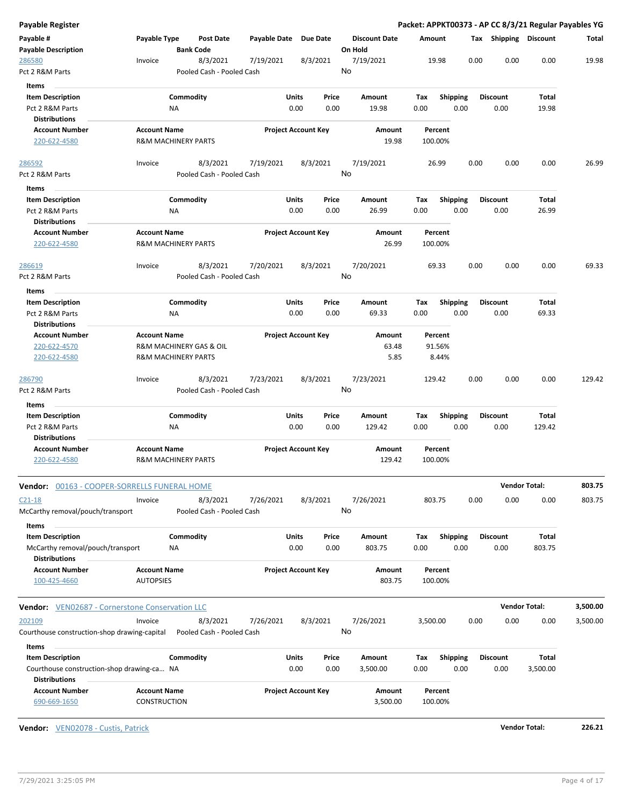| Payable Register                                                                              |                                                                                  |                                       |                       |                            |                                 | Packet: APPKT00373 - AP CC 8/3/21 Regular Payables YG |      |                         |                      |          |
|-----------------------------------------------------------------------------------------------|----------------------------------------------------------------------------------|---------------------------------------|-----------------------|----------------------------|---------------------------------|-------------------------------------------------------|------|-------------------------|----------------------|----------|
| Payable #<br><b>Payable Description</b>                                                       | Payable Type                                                                     | Post Date<br><b>Bank Code</b>         | Payable Date Due Date |                            | <b>Discount Date</b><br>On Hold | Amount                                                |      | Tax Shipping Discount   |                      | Total    |
| 286580<br>Pct 2 R&M Parts                                                                     | Invoice                                                                          | 8/3/2021<br>Pooled Cash - Pooled Cash | 7/19/2021             | 8/3/2021                   | 7/19/2021<br>No                 | 19.98                                                 | 0.00 | 0.00                    | 0.00                 | 19.98    |
| <b>Items</b><br><b>Item Description</b><br>Pct 2 R&M Parts<br><b>Distributions</b>            | ΝA                                                                               | Commodity                             | Units                 | Price<br>0.00<br>0.00      | Amount<br>19.98                 | <b>Shipping</b><br>Tax<br>0.00                        | 0.00 | <b>Discount</b><br>0.00 | Total<br>19.98       |          |
| <b>Account Number</b><br>220-622-4580                                                         | <b>Account Name</b><br><b>R&amp;M MACHINERY PARTS</b>                            |                                       |                       | <b>Project Account Key</b> | Amount<br>19.98                 | Percent<br>100.00%                                    |      |                         |                      |          |
| 286592<br>Pct 2 R&M Parts                                                                     | Invoice                                                                          | 8/3/2021<br>Pooled Cash - Pooled Cash | 7/19/2021             | 8/3/2021                   | 7/19/2021<br>No                 | 26.99                                                 | 0.00 | 0.00                    | 0.00                 | 26.99    |
| Items<br><b>Item Description</b><br>Pct 2 R&M Parts                                           | NA                                                                               | Commodity                             | Units                 | Price<br>0.00<br>0.00      | Amount<br>26.99                 | Tax<br><b>Shipping</b><br>0.00                        | 0.00 | <b>Discount</b><br>0.00 | Total<br>26.99       |          |
| <b>Distributions</b><br><b>Account Number</b><br>220-622-4580                                 | <b>Account Name</b><br><b>R&amp;M MACHINERY PARTS</b>                            |                                       |                       | <b>Project Account Key</b> | Amount<br>26.99                 | Percent<br>100.00%                                    |      |                         |                      |          |
| 286619<br>Pct 2 R&M Parts                                                                     | Invoice                                                                          | 8/3/2021<br>Pooled Cash - Pooled Cash | 7/20/2021             | 8/3/2021                   | 7/20/2021<br>No                 | 69.33                                                 | 0.00 | 0.00                    | 0.00                 | 69.33    |
| Items<br><b>Item Description</b><br>Pct 2 R&M Parts<br><b>Distributions</b>                   | <b>NA</b>                                                                        | Commodity                             | Units                 | Price<br>0.00<br>0.00      | Amount<br>69.33                 | <b>Shipping</b><br>Tax<br>0.00                        | 0.00 | <b>Discount</b><br>0.00 | Total<br>69.33       |          |
| <b>Account Number</b><br>220-622-4570<br>220-622-4580                                         | <b>Account Name</b><br>R&M MACHINERY GAS & OIL<br><b>R&amp;M MACHINERY PARTS</b> |                                       |                       | <b>Project Account Key</b> | Amount<br>63.48<br>5.85         | Percent<br>91.56%<br>8.44%                            |      |                         |                      |          |
| 286790<br>Pct 2 R&M Parts                                                                     | Invoice                                                                          | 8/3/2021<br>Pooled Cash - Pooled Cash | 7/23/2021             | 8/3/2021                   | 7/23/2021<br>No                 | 129.42                                                | 0.00 | 0.00                    | 0.00                 | 129.42   |
| Items<br><b>Item Description</b><br>Pct 2 R&M Parts<br><b>Distributions</b>                   | <b>NA</b>                                                                        | Commodity                             | Units                 | Price<br>0.00<br>0.00      | Amount<br>129.42                | Shipping<br>Tax<br>0.00                               | 0.00 | <b>Discount</b><br>0.00 | Total<br>129.42      |          |
| <b>Account Number</b><br>220-622-4580                                                         | <b>Account Name</b><br><b>R&amp;M MACHINERY PARTS</b>                            |                                       |                       | <b>Project Account Key</b> | Amount<br>129.42                | Percent<br>100.00%                                    |      |                         |                      |          |
| <b>Vendor:</b> 00163 - COOPER-SORRELLS FUNERAL HOME                                           |                                                                                  |                                       |                       |                            |                                 |                                                       |      |                         | <b>Vendor Total:</b> | 803.75   |
| $C21-18$<br>McCarthy removal/pouch/transport                                                  | Invoice                                                                          | 8/3/2021<br>Pooled Cash - Pooled Cash | 7/26/2021             | 8/3/2021                   | 7/26/2021<br>No                 | 803.75                                                | 0.00 | 0.00                    | 0.00                 | 803.75   |
| Items<br><b>Item Description</b><br>McCarthy removal/pouch/transport<br><b>Distributions</b>  | ΝA                                                                               | Commodity                             | Units                 | Price<br>0.00<br>0.00      | Amount<br>803.75                | <b>Shipping</b><br>Tax<br>0.00                        | 0.00 | <b>Discount</b><br>0.00 | Total<br>803.75      |          |
| <b>Account Number</b><br>100-425-4660                                                         | <b>Account Name</b><br><b>AUTOPSIES</b>                                          |                                       |                       | <b>Project Account Key</b> | Amount<br>803.75                | Percent<br>100.00%                                    |      |                         |                      |          |
| Vendor: VEN02687 - Cornerstone Conservation LLC                                               |                                                                                  |                                       |                       |                            |                                 |                                                       |      |                         | <b>Vendor Total:</b> | 3,500.00 |
| 202109<br>Courthouse construction-shop drawing-capital                                        | Invoice                                                                          | 8/3/2021<br>Pooled Cash - Pooled Cash | 7/26/2021             | 8/3/2021                   | 7/26/2021<br>No                 | 3,500.00                                              | 0.00 | 0.00                    | 0.00                 | 3,500.00 |
| Items                                                                                         |                                                                                  |                                       |                       |                            |                                 |                                                       |      |                         |                      |          |
| <b>Item Description</b><br>Courthouse construction-shop drawing-ca NA<br><b>Distributions</b> |                                                                                  | Commodity                             | Units                 | Price<br>0.00<br>0.00      | Amount<br>3,500.00              | <b>Shipping</b><br>Tax<br>0.00                        | 0.00 | <b>Discount</b><br>0.00 | Total<br>3,500.00    |          |
| <b>Account Number</b><br>690-669-1650                                                         | <b>Account Name</b><br><b>CONSTRUCTION</b>                                       |                                       |                       | <b>Project Account Key</b> | Amount<br>3,500.00              | Percent<br>100.00%                                    |      |                         |                      |          |

**Vendor:** VEN02078 - Custis, Patrick **Vendor Total: 226.21**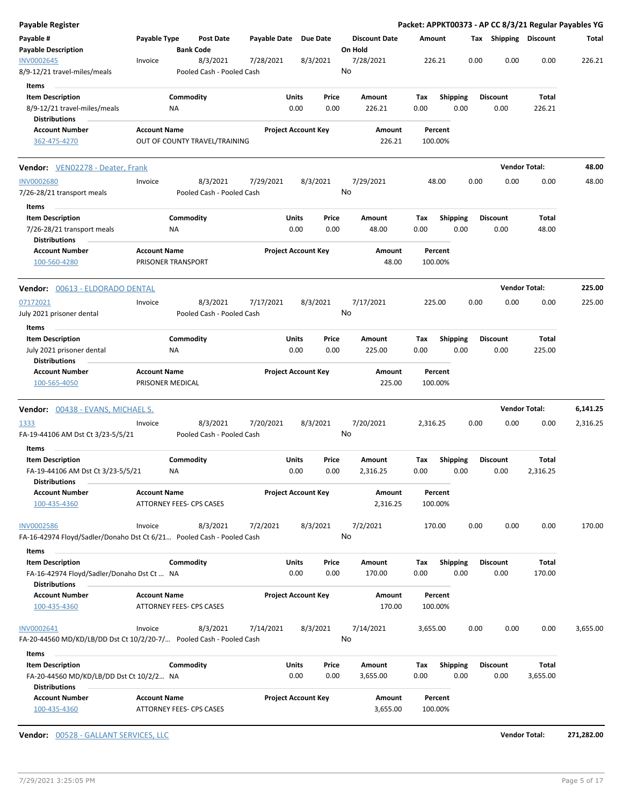| Payable Register                                                                                 |                                                        |                  |                                       |                       |                            |               |                                 |                    |                         |      |                         |                      | Packet: APPKT00373 - AP CC 8/3/21 Regular Payables YG |
|--------------------------------------------------------------------------------------------------|--------------------------------------------------------|------------------|---------------------------------------|-----------------------|----------------------------|---------------|---------------------------------|--------------------|-------------------------|------|-------------------------|----------------------|-------------------------------------------------------|
| Payable #<br><b>Payable Description</b>                                                          | Payable Type                                           | <b>Bank Code</b> | <b>Post Date</b>                      | Payable Date Due Date |                            |               | <b>Discount Date</b><br>On Hold | Amount             |                         |      | Tax Shipping Discount   |                      | Total                                                 |
| INV0002645<br>8/9-12/21 travel-miles/meals                                                       | Invoice                                                |                  | 8/3/2021<br>Pooled Cash - Pooled Cash | 7/28/2021             |                            | 8/3/2021      | 7/28/2021<br>No                 | 226.21             |                         | 0.00 | 0.00                    | 0.00                 | 226.21                                                |
| <b>Items</b>                                                                                     |                                                        |                  |                                       |                       |                            |               |                                 |                    |                         |      |                         |                      |                                                       |
| <b>Item Description</b><br>8/9-12/21 travel-miles/meals                                          |                                                        | Commodity<br>ΝA  |                                       |                       | Units<br>0.00              | Price<br>0.00 | Amount<br>226.21                | Tax<br>0.00        | <b>Shipping</b><br>0.00 |      | <b>Discount</b><br>0.00 | Total<br>226.21      |                                                       |
| <b>Distributions</b>                                                                             |                                                        |                  |                                       |                       |                            |               |                                 |                    |                         |      |                         |                      |                                                       |
| <b>Account Number</b><br>362-475-4270                                                            | <b>Account Name</b>                                    |                  | OUT OF COUNTY TRAVEL/TRAINING         |                       | <b>Project Account Key</b> |               | Amount<br>226.21                | Percent<br>100.00% |                         |      |                         |                      |                                                       |
| Vendor: VEN02278 - Deater, Frank                                                                 |                                                        |                  |                                       |                       |                            |               |                                 |                    |                         |      |                         | <b>Vendor Total:</b> | 48.00                                                 |
| <b>INV0002680</b>                                                                                | Invoice                                                |                  | 8/3/2021                              | 7/29/2021             |                            | 8/3/2021      | 7/29/2021                       | 48.00              |                         | 0.00 | 0.00                    | 0.00                 | 48.00                                                 |
| 7/26-28/21 transport meals                                                                       |                                                        |                  | Pooled Cash - Pooled Cash             |                       |                            |               | No                              |                    |                         |      |                         |                      |                                                       |
| Items                                                                                            |                                                        |                  |                                       |                       |                            |               |                                 |                    |                         |      |                         |                      |                                                       |
| <b>Item Description</b><br>7/26-28/21 transport meals<br><b>Distributions</b>                    |                                                        | Commodity<br>NA  |                                       |                       | Units<br>0.00              | Price<br>0.00 | Amount<br>48.00                 | Tax<br>0.00        | <b>Shipping</b><br>0.00 |      | <b>Discount</b><br>0.00 | Total<br>48.00       |                                                       |
| <b>Account Number</b><br>100-560-4280                                                            | <b>Account Name</b><br>PRISONER TRANSPORT              |                  |                                       |                       | <b>Project Account Key</b> |               | Amount<br>48.00                 | Percent<br>100.00% |                         |      |                         |                      |                                                       |
| <b>Vendor:</b> 00613 - ELDORADO DENTAL                                                           |                                                        |                  |                                       |                       |                            |               |                                 |                    |                         |      |                         | <b>Vendor Total:</b> | 225.00                                                |
| 07172021                                                                                         | Invoice                                                |                  | 8/3/2021                              | 7/17/2021             |                            | 8/3/2021      | 7/17/2021                       | 225.00             |                         | 0.00 | 0.00                    | 0.00                 | 225.00                                                |
| July 2021 prisoner dental                                                                        |                                                        |                  | Pooled Cash - Pooled Cash             |                       |                            |               | No                              |                    |                         |      |                         |                      |                                                       |
| Items                                                                                            |                                                        |                  |                                       |                       |                            |               |                                 |                    |                         |      |                         |                      |                                                       |
| <b>Item Description</b>                                                                          |                                                        | Commodity        |                                       |                       | Units                      | Price         | Amount                          | Tax                | <b>Shipping</b>         |      | <b>Discount</b>         | Total                |                                                       |
| July 2021 prisoner dental<br><b>Distributions</b>                                                |                                                        | ΝA               |                                       |                       | 0.00                       | 0.00          | 225.00                          | 0.00               | 0.00                    |      | 0.00                    | 225.00               |                                                       |
| <b>Account Number</b><br>100-565-4050                                                            | <b>Account Name</b><br>PRISONER MEDICAL                |                  |                                       |                       | <b>Project Account Key</b> |               | Amount<br>225.00                | Percent<br>100.00% |                         |      |                         |                      |                                                       |
| <b>Vendor:</b> 00438 - EVANS, MICHAEL S.                                                         |                                                        |                  |                                       |                       |                            |               |                                 |                    |                         |      |                         | <b>Vendor Total:</b> | 6,141.25                                              |
| <u> 1333 </u>                                                                                    | Invoice                                                |                  | 8/3/2021                              | 7/20/2021             |                            | 8/3/2021      | 7/20/2021<br>No                 | 2,316.25           |                         | 0.00 | 0.00                    | 0.00                 | 2,316.25                                              |
| FA-19-44106 AM Dst Ct 3/23-5/5/21                                                                |                                                        |                  | Pooled Cash - Pooled Cash             |                       |                            |               |                                 |                    |                         |      |                         |                      |                                                       |
| Items                                                                                            |                                                        |                  |                                       |                       |                            |               |                                 |                    |                         |      |                         |                      |                                                       |
| <b>Item Description</b>                                                                          |                                                        | Commodity        |                                       |                       | Units                      | Price         | Amount                          | Tax                | Shipping                |      | <b>Discount</b>         | Total                |                                                       |
| FA-19-44106 AM Dst Ct 3/23-5/5/21<br><b>Distributions</b>                                        |                                                        | ΝA               |                                       |                       | 0.00                       | 0.00          | 2,316.25                        | 0.00               | 0.00                    |      | 0.00                    | 2,316.25             |                                                       |
| <b>Account Number</b><br>100-435-4360                                                            | <b>Account Name</b><br><b>ATTORNEY FEES- CPS CASES</b> |                  |                                       |                       | <b>Project Account Key</b> |               | Amount<br>2,316.25              | Percent<br>100.00% |                         |      |                         |                      |                                                       |
| <b>INV0002586</b><br>FA-16-42974 Floyd/Sadler/Donaho Dst Ct 6/21 Pooled Cash - Pooled Cash       | Invoice                                                |                  | 8/3/2021                              | 7/2/2021              |                            | 8/3/2021      | 7/2/2021<br>No                  | 170.00             |                         | 0.00 | 0.00                    | 0.00                 | 170.00                                                |
|                                                                                                  |                                                        |                  |                                       |                       |                            |               |                                 |                    |                         |      |                         |                      |                                                       |
| Items                                                                                            |                                                        |                  |                                       |                       |                            |               |                                 |                    |                         |      |                         |                      |                                                       |
| <b>Item Description</b><br>FA-16-42974 Floyd/Sadler/Donaho Dst Ct  NA<br><b>Distributions</b>    |                                                        | Commodity        |                                       |                       | Units<br>0.00              | Price<br>0.00 | Amount<br>170.00                | Тах<br>0.00        | Shipping<br>0.00        |      | <b>Discount</b><br>0.00 | Total<br>170.00      |                                                       |
| <b>Account Number</b><br>100-435-4360                                                            | <b>Account Name</b><br>ATTORNEY FEES- CPS CASES        |                  |                                       |                       | <b>Project Account Key</b> |               | Amount<br>170.00                | Percent<br>100.00% |                         |      |                         |                      |                                                       |
|                                                                                                  |                                                        |                  |                                       |                       |                            |               |                                 |                    |                         |      |                         |                      |                                                       |
| INV0002641<br>FA-20-44560 MD/KD/LB/DD Dst Ct 10/2/20-7/                Pooled Cash - Pooled Cash | Invoice                                                |                  | 8/3/2021                              | 7/14/2021             |                            | 8/3/2021      | 7/14/2021<br>No                 | 3,655.00           |                         | 0.00 | 0.00                    | 0.00                 | 3,655.00                                              |
| Items                                                                                            |                                                        |                  |                                       |                       |                            |               |                                 |                    |                         |      |                         |                      |                                                       |
| <b>Item Description</b>                                                                          |                                                        | Commodity        |                                       |                       | Units                      | Price         | Amount                          | Tax                | <b>Shipping</b>         |      | <b>Discount</b>         | Total                |                                                       |
| FA-20-44560 MD/KD/LB/DD Dst Ct 10/2/2 NA<br><b>Distributions</b>                                 |                                                        |                  |                                       |                       | 0.00                       | 0.00          | 3,655.00                        | 0.00               | 0.00                    |      | 0.00                    | 3,655.00             |                                                       |
| <b>Account Number</b><br>100-435-4360                                                            | <b>Account Name</b><br>ATTORNEY FEES- CPS CASES        |                  |                                       |                       | <b>Project Account Key</b> |               | Amount<br>3,655.00              | Percent<br>100.00% |                         |      |                         |                      |                                                       |
|                                                                                                  |                                                        |                  |                                       |                       |                            |               |                                 |                    |                         |      |                         |                      |                                                       |

**Vendor:** 00528 - GALLANT SERVICES, LLC **Vendor Total: 271,282.00**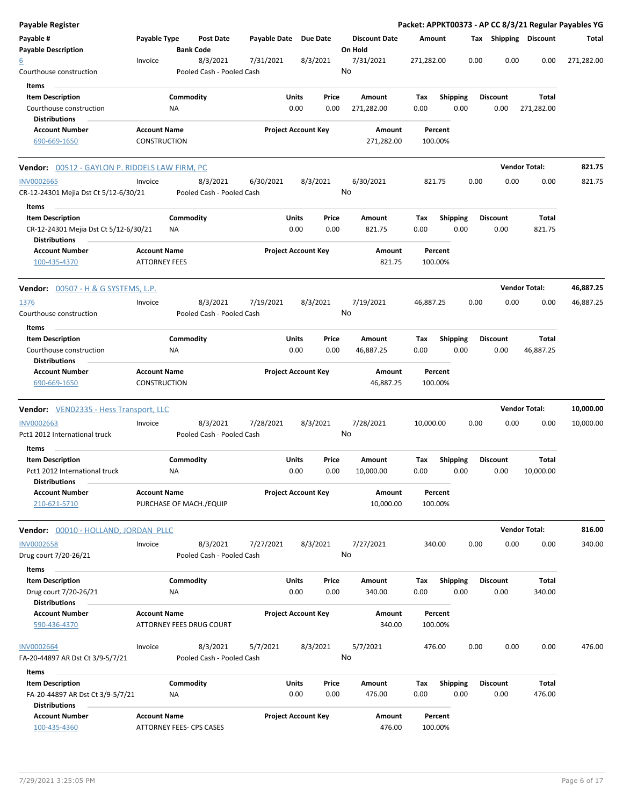| Payable Register                                                                         |                                             |                 |                                       |              |                            |               |                                 |             |                    |      |      |                         |                       | Packet: APPKT00373 - AP CC 8/3/21 Regular Payables YG |
|------------------------------------------------------------------------------------------|---------------------------------------------|-----------------|---------------------------------------|--------------|----------------------------|---------------|---------------------------------|-------------|--------------------|------|------|-------------------------|-----------------------|-------------------------------------------------------|
| Payable #<br><b>Payable Description</b>                                                  | Payable Type                                |                 | <b>Post Date</b><br><b>Bank Code</b>  | Payable Date | Due Date                   |               | <b>Discount Date</b><br>On Hold | Amount      |                    |      |      |                         | Tax Shipping Discount | Total                                                 |
| <u>6</u><br>Courthouse construction                                                      | Invoice                                     |                 | 8/3/2021<br>Pooled Cash - Pooled Cash | 7/31/2021    | 8/3/2021                   |               | 7/31/2021<br>No                 | 271,282.00  |                    |      | 0.00 | 0.00                    | 0.00                  | 271,282.00                                            |
| Items                                                                                    |                                             |                 |                                       |              |                            |               |                                 |             |                    |      |      |                         |                       |                                                       |
| <b>Item Description</b><br>Courthouse construction                                       |                                             | Commodity<br>ΝA |                                       |              | Units<br>0.00              | Price<br>0.00 | Amount<br>271,282.00            | Tax<br>0.00 | Shipping           | 0.00 |      | <b>Discount</b><br>0.00 | Total<br>271,282.00   |                                                       |
| <b>Distributions</b>                                                                     |                                             |                 |                                       |              |                            |               |                                 |             |                    |      |      |                         |                       |                                                       |
| <b>Account Number</b><br>690-669-1650                                                    | <b>Account Name</b><br><b>CONSTRUCTION</b>  |                 |                                       |              | <b>Project Account Key</b> |               | Amount<br>271,282.00            |             | Percent<br>100.00% |      |      |                         |                       |                                                       |
| Vendor: 00512 - GAYLON P. RIDDELS LAW FIRM, PC                                           |                                             |                 |                                       |              |                            |               |                                 |             |                    |      |      |                         | <b>Vendor Total:</b>  | 821.75                                                |
| <b>INV0002665</b><br>CR-12-24301 Mejia Dst Ct 5/12-6/30/21                               | Invoice                                     |                 | 8/3/2021<br>Pooled Cash - Pooled Cash | 6/30/2021    | 8/3/2021                   |               | 6/30/2021<br>No                 |             | 821.75             |      | 0.00 | 0.00                    | 0.00                  | 821.75                                                |
| Items                                                                                    |                                             |                 |                                       |              |                            |               |                                 |             |                    |      |      |                         |                       |                                                       |
| <b>Item Description</b><br>CR-12-24301 Mejia Dst Ct 5/12-6/30/21<br><b>Distributions</b> |                                             | Commodity<br>ΝA |                                       |              | Units<br>0.00              | Price<br>0.00 | Amount<br>821.75                | Tax<br>0.00 | <b>Shipping</b>    | 0.00 |      | <b>Discount</b><br>0.00 | Total<br>821.75       |                                                       |
| <b>Account Number</b><br>100-435-4370                                                    | <b>Account Name</b><br><b>ATTORNEY FEES</b> |                 |                                       |              | <b>Project Account Key</b> |               | Amount<br>821.75                |             | Percent<br>100.00% |      |      |                         |                       |                                                       |
| Vendor: 00507 - H & G SYSTEMS, L.P.                                                      |                                             |                 |                                       |              |                            |               |                                 |             |                    |      |      |                         | <b>Vendor Total:</b>  | 46,887.25                                             |
| 1376<br>Courthouse construction                                                          | Invoice                                     |                 | 8/3/2021<br>Pooled Cash - Pooled Cash | 7/19/2021    | 8/3/2021                   |               | 7/19/2021<br>No                 | 46,887.25   |                    |      | 0.00 | 0.00                    | 0.00                  | 46,887.25                                             |
| Items                                                                                    |                                             |                 |                                       |              |                            |               |                                 |             |                    |      |      |                         |                       |                                                       |
| <b>Item Description</b>                                                                  |                                             | Commodity       |                                       |              | Units                      | Price         | Amount                          | Tax         | <b>Shipping</b>    |      |      | <b>Discount</b>         | Total                 |                                                       |
| Courthouse construction<br><b>Distributions</b>                                          |                                             | <b>NA</b>       |                                       |              | 0.00                       | 0.00          | 46,887.25                       | 0.00        |                    | 0.00 |      | 0.00                    | 46,887.25             |                                                       |
| <b>Account Number</b><br>690-669-1650                                                    | <b>Account Name</b><br>CONSTRUCTION         |                 |                                       |              | <b>Project Account Key</b> |               | Amount<br>46,887.25             |             | Percent<br>100.00% |      |      |                         |                       |                                                       |
| <b>Vendor:</b> VEN02335 - Hess Transport, LLC                                            |                                             |                 |                                       |              |                            |               |                                 |             |                    |      |      |                         | <b>Vendor Total:</b>  | 10,000.00                                             |
| <b>INV0002663</b><br>Pct1 2012 International truck                                       | Invoice                                     |                 | 8/3/2021<br>Pooled Cash - Pooled Cash | 7/28/2021    | 8/3/2021                   |               | 7/28/2021<br>No                 | 10,000.00   |                    |      | 0.00 | 0.00                    | 0.00                  | 10,000.00                                             |
| Items                                                                                    |                                             |                 |                                       |              |                            |               |                                 |             |                    |      |      |                         |                       |                                                       |
| <b>Item Description</b><br>Pct1 2012 International truck<br><b>Distributions</b>         |                                             | Commodity<br>ΝA |                                       |              | Units<br>0.00              | Price<br>0.00 | Amount<br>10,000.00             | Tax<br>0.00 | <b>Shipping</b>    | 0.00 |      | <b>Discount</b><br>0.00 | Total<br>10,000.00    |                                                       |
| <b>Account Number</b><br>210-621-5710                                                    | <b>Account Name</b>                         |                 | PURCHASE OF MACH./EQUIP               |              | <b>Project Account Key</b> |               | Amount<br>10,000.00             |             | Percent<br>100.00% |      |      |                         |                       |                                                       |
| Vendor: 00010 - HOLLAND, JORDAN PLLC                                                     |                                             |                 |                                       |              |                            |               |                                 |             |                    |      |      |                         | <b>Vendor Total:</b>  | 816.00                                                |
| <b>INV0002658</b><br>Drug court 7/20-26/21                                               | Invoice                                     |                 | 8/3/2021<br>Pooled Cash - Pooled Cash | 7/27/2021    | 8/3/2021                   |               | 7/27/2021<br>No                 |             | 340.00             |      | 0.00 | 0.00                    | 0.00                  | 340.00                                                |
| Items                                                                                    |                                             |                 |                                       |              |                            |               |                                 |             |                    |      |      |                         |                       |                                                       |
| <b>Item Description</b><br>Drug court 7/20-26/21                                         |                                             | Commodity<br>ΝA |                                       |              | Units<br>0.00              | Price<br>0.00 | Amount<br>340.00                | Tax<br>0.00 | <b>Shipping</b>    | 0.00 |      | <b>Discount</b><br>0.00 | Total<br>340.00       |                                                       |
| <b>Distributions</b>                                                                     |                                             |                 |                                       |              |                            |               |                                 |             |                    |      |      |                         |                       |                                                       |
| <b>Account Number</b><br>590-436-4370                                                    | <b>Account Name</b>                         |                 | ATTORNEY FEES DRUG COURT              |              | <b>Project Account Key</b> |               | Amount<br>340.00                |             | Percent<br>100.00% |      |      |                         |                       |                                                       |
| INV0002664<br>FA-20-44897 AR Dst Ct 3/9-5/7/21                                           | Invoice                                     |                 | 8/3/2021<br>Pooled Cash - Pooled Cash | 5/7/2021     | 8/3/2021                   |               | 5/7/2021<br>No                  |             | 476.00             |      | 0.00 | 0.00                    | 0.00                  | 476.00                                                |
| Items                                                                                    |                                             |                 |                                       |              |                            |               |                                 |             |                    |      |      |                         |                       |                                                       |
| <b>Item Description</b><br>FA-20-44897 AR Dst Ct 3/9-5/7/21                              |                                             | Commodity<br>ΝA |                                       |              | Units<br>0.00              | Price<br>0.00 | Amount<br>476.00                | Тах<br>0.00 | <b>Shipping</b>    | 0.00 |      | <b>Discount</b><br>0.00 | Total<br>476.00       |                                                       |
| <b>Distributions</b>                                                                     |                                             |                 |                                       |              |                            |               |                                 |             |                    |      |      |                         |                       |                                                       |
| <b>Account Number</b><br>100-435-4360                                                    | <b>Account Name</b>                         |                 | <b>ATTORNEY FEES- CPS CASES</b>       |              | <b>Project Account Key</b> |               | Amount<br>476.00                |             | Percent<br>100.00% |      |      |                         |                       |                                                       |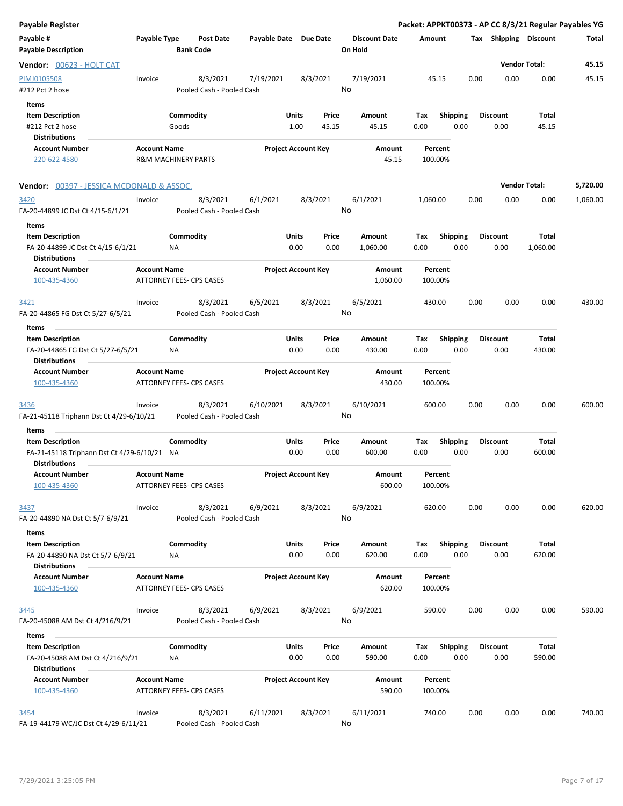| <b>Payable Register</b>                                                             |                     |                                       |                       |                            |                |                                 |             |                         |      |                         | Packet: APPKT00373 - AP CC 8/3/21 Regular Payables YG |          |
|-------------------------------------------------------------------------------------|---------------------|---------------------------------------|-----------------------|----------------------------|----------------|---------------------------------|-------------|-------------------------|------|-------------------------|-------------------------------------------------------|----------|
| Payable #<br><b>Payable Description</b>                                             | Payable Type        | Post Date<br><b>Bank Code</b>         | Payable Date Due Date |                            |                | <b>Discount Date</b><br>On Hold | Amount      |                         |      | Tax Shipping Discount   |                                                       | Total    |
| Vendor: 00623 - HOLT CAT                                                            |                     |                                       |                       |                            |                |                                 |             |                         |      |                         | <b>Vendor Total:</b>                                  | 45.15    |
| PIMJ0105508<br>#212 Pct 2 hose                                                      | Invoice             | 8/3/2021<br>Pooled Cash - Pooled Cash | 7/19/2021             |                            | 8/3/2021       | 7/19/2021<br>No                 |             | 45.15                   | 0.00 | 0.00                    | 0.00                                                  | 45.15    |
| Items<br><b>Item Description</b><br>#212 Pct 2 hose                                 |                     | Commodity<br>Goods                    |                       | Units<br>1.00              | Price<br>45.15 | Amount<br>45.15                 | Тах<br>0.00 | <b>Shipping</b><br>0.00 |      | <b>Discount</b><br>0.00 | Total<br>45.15                                        |          |
| <b>Distributions</b><br><b>Account Number</b>                                       |                     |                                       |                       |                            |                |                                 |             | Percent                 |      |                         |                                                       |          |
| 220-622-4580                                                                        | <b>Account Name</b> | <b>R&amp;M MACHINERY PARTS</b>        |                       | <b>Project Account Key</b> |                | Amount<br>45.15                 |             | 100.00%                 |      |                         |                                                       |          |
| <b>Vendor:</b> 00397 - JESSICA MCDONALD & ASSOC.                                    |                     |                                       |                       |                            |                |                                 |             |                         |      |                         | <b>Vendor Total:</b>                                  | 5,720.00 |
|                                                                                     |                     |                                       |                       |                            |                |                                 |             |                         |      |                         |                                                       |          |
| 3420<br>FA-20-44899 JC Dst Ct 4/15-6/1/21                                           | Invoice             | 8/3/2021<br>Pooled Cash - Pooled Cash | 6/1/2021              |                            | 8/3/2021       | 6/1/2021<br>No                  | 1,060.00    |                         | 0.00 | 0.00                    | 0.00                                                  | 1,060.00 |
| Items<br>$\sim$                                                                     |                     |                                       |                       |                            |                |                                 |             |                         |      |                         |                                                       |          |
| <b>Item Description</b>                                                             |                     | Commodity                             |                       | Units                      | Price          | Amount                          | Tax         | <b>Shipping</b>         |      | <b>Discount</b>         | Total                                                 |          |
| FA-20-44899 JC Dst Ct 4/15-6/1/21<br><b>Distributions</b>                           |                     | ΝA                                    |                       | 0.00                       | 0.00           | 1,060.00                        | 0.00        | 0.00                    |      | 0.00                    | 1,060.00                                              |          |
| <b>Account Number</b><br>100-435-4360                                               | <b>Account Name</b> | ATTORNEY FEES- CPS CASES              |                       | <b>Project Account Key</b> |                | Amount<br>1,060.00              |             | Percent<br>100.00%      |      |                         |                                                       |          |
| 3421<br>FA-20-44865 FG Dst Ct 5/27-6/5/21                                           | Invoice             | 8/3/2021<br>Pooled Cash - Pooled Cash | 6/5/2021              |                            | 8/3/2021       | 6/5/2021<br>No                  | 430.00      |                         | 0.00 | 0.00                    | 0.00                                                  | 430.00   |
| Items                                                                               |                     |                                       |                       |                            |                |                                 |             |                         |      |                         |                                                       |          |
| <b>Item Description</b>                                                             |                     | Commodity                             |                       | Units                      | Price          | Amount                          | Tax         | <b>Shipping</b>         |      | <b>Discount</b>         | Total                                                 |          |
| FA-20-44865 FG Dst Ct 5/27-6/5/21<br><b>Distributions</b>                           |                     | ΝA                                    |                       | 0.00                       | 0.00           | 430.00                          | 0.00        | 0.00                    |      | 0.00                    | 430.00                                                |          |
| <b>Account Number</b><br>100-435-4360                                               | <b>Account Name</b> | ATTORNEY FEES- CPS CASES              |                       | <b>Project Account Key</b> |                | Amount<br>430.00                |             | Percent<br>100.00%      |      |                         |                                                       |          |
| 3436<br>FA-21-45118 Triphann Dst Ct 4/29-6/10/21                                    | Invoice             | 8/3/2021<br>Pooled Cash - Pooled Cash | 6/10/2021             |                            | 8/3/2021       | 6/10/2021<br>No                 | 600.00      |                         | 0.00 | 0.00                    | 0.00                                                  | 600.00   |
| Items<br><b>Item Description</b>                                                    |                     | Commodity                             |                       | Units                      | Price          | Amount                          | Tax         | <b>Shipping</b>         |      | <b>Discount</b>         | Total                                                 |          |
| FA-21-45118 Triphann Dst Ct 4/29-6/10/21 NA<br><b>Distributions</b>                 |                     |                                       |                       | 0.00                       | 0.00           | 600.00                          | 0.00        | 0.00                    |      | 0.00                    | 600.00                                                |          |
| <b>Account Number</b>                                                               | <b>Account Name</b> |                                       |                       | <b>Project Account Key</b> |                | Amount                          |             | Percent                 |      |                         |                                                       |          |
| 100-435-4360                                                                        |                     | ATTORNEY FEES- CPS CASES              |                       |                            |                | 600.00                          |             | 100.00%                 |      |                         |                                                       |          |
| 3437<br>FA-20-44890 NA Dst Ct 5/7-6/9/21                                            | Invoice             | 8/3/2021<br>Pooled Cash - Pooled Cash | 6/9/2021              |                            | 8/3/2021       | 6/9/2021<br>No                  | 620.00      |                         | 0.00 | 0.00                    | 0.00                                                  | 620.00   |
| Items                                                                               |                     |                                       |                       |                            |                |                                 |             |                         |      |                         |                                                       |          |
| <b>Item Description</b><br>FA-20-44890 NA Dst Ct 5/7-6/9/21<br><b>Distributions</b> |                     | Commodity<br>NA                       |                       | Units<br>0.00              | Price<br>0.00  | Amount<br>620.00                | Tax<br>0.00 | <b>Shipping</b><br>0.00 |      | <b>Discount</b><br>0.00 | Total<br>620.00                                       |          |
| <b>Account Number</b><br>100-435-4360                                               | <b>Account Name</b> | <b>ATTORNEY FEES- CPS CASES</b>       |                       | <b>Project Account Key</b> |                | Amount<br>620.00                |             | Percent<br>100.00%      |      |                         |                                                       |          |
| 3445<br>FA-20-45088 AM Dst Ct 4/216/9/21                                            | Invoice             | 8/3/2021<br>Pooled Cash - Pooled Cash | 6/9/2021              |                            | 8/3/2021       | 6/9/2021<br>No                  |             | 590.00                  | 0.00 | 0.00                    | 0.00                                                  | 590.00   |
| Items                                                                               |                     |                                       |                       |                            |                |                                 |             |                         |      |                         |                                                       |          |
| <b>Item Description</b><br>FA-20-45088 AM Dst Ct 4/216/9/21                         |                     | Commodity<br>ΝA                       |                       | Units<br>0.00              | Price<br>0.00  | Amount<br>590.00                | Тах<br>0.00 | <b>Shipping</b><br>0.00 |      | <b>Discount</b><br>0.00 | Total<br>590.00                                       |          |
| <b>Distributions</b>                                                                |                     |                                       |                       |                            |                |                                 |             |                         |      |                         |                                                       |          |
| <b>Account Number</b><br>100-435-4360                                               | <b>Account Name</b> | ATTORNEY FEES- CPS CASES              |                       | <b>Project Account Key</b> |                | Amount<br>590.00                |             | Percent<br>100.00%      |      |                         |                                                       |          |
| 3454                                                                                | Invoice             | 8/3/2021                              | 6/11/2021             |                            | 8/3/2021       | 6/11/2021                       | 740.00      |                         | 0.00 | 0.00                    | 0.00                                                  | 740.00   |
| FA-19-44179 WC/JC Dst Ct 4/29-6/11/21                                               |                     | Pooled Cash - Pooled Cash             |                       |                            |                | No                              |             |                         |      |                         |                                                       |          |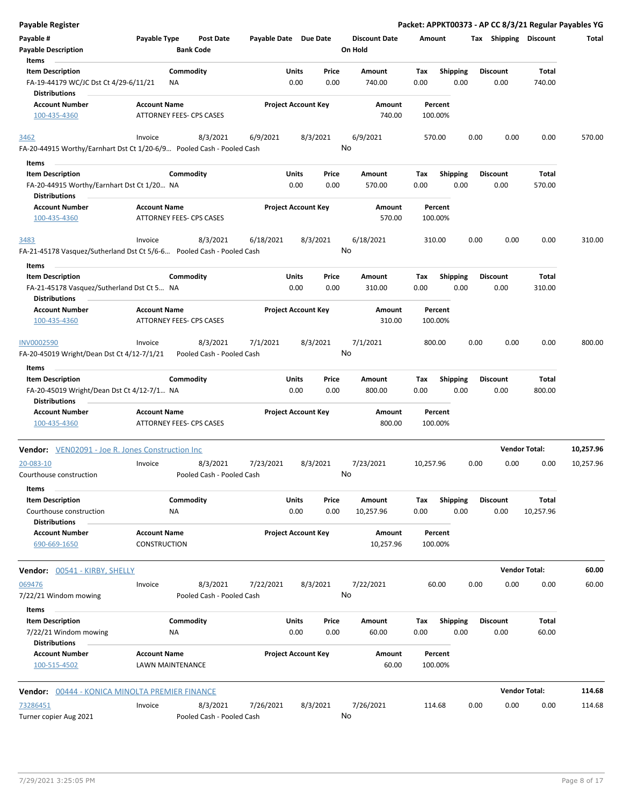| <b>Payable Register</b>                                                                  |                                            |                                       |                       |                            |                |                                 |             |                         |      |                         |                      | Packet: APPKT00373 - AP CC 8/3/21 Regular Payables YG |
|------------------------------------------------------------------------------------------|--------------------------------------------|---------------------------------------|-----------------------|----------------------------|----------------|---------------------------------|-------------|-------------------------|------|-------------------------|----------------------|-------------------------------------------------------|
| Payable #<br><b>Payable Description</b>                                                  | Payable Type                               | <b>Post Date</b><br><b>Bank Code</b>  | Payable Date Due Date |                            |                | <b>Discount Date</b><br>On Hold | Amount      |                         |      | Tax Shipping Discount   |                      | Total                                                 |
| Items                                                                                    |                                            |                                       |                       |                            |                |                                 |             |                         |      |                         |                      |                                                       |
| <b>Item Description</b><br>FA-19-44179 WC/JC Dst Ct 4/29-6/11/21<br><b>Distributions</b> | NA                                         | Commodity                             |                       | Units<br>0.00              | Price<br>0.00  | Amount<br>740.00                | Tax<br>0.00 | <b>Shipping</b><br>0.00 |      | <b>Discount</b><br>0.00 | Total<br>740.00      |                                                       |
| <b>Account Number</b>                                                                    |                                            |                                       |                       |                            |                |                                 |             |                         |      |                         |                      |                                                       |
| 100-435-4360                                                                             | <b>Account Name</b>                        | ATTORNEY FEES- CPS CASES              |                       | <b>Project Account Key</b> |                | Amount<br>740.00                | 100.00%     | Percent                 |      |                         |                      |                                                       |
| 3462<br>FA-20-44915 Worthy/Earnhart Dst Ct 1/20-6/9 Pooled Cash - Pooled Cash            | Invoice                                    | 8/3/2021                              | 6/9/2021              |                            | 8/3/2021       | 6/9/2021<br>No                  | 570.00      |                         | 0.00 | 0.00                    | 0.00                 | 570.00                                                |
| Items                                                                                    |                                            |                                       |                       |                            |                |                                 |             |                         |      |                         |                      |                                                       |
| <b>Item Description</b>                                                                  |                                            | Commodity                             |                       | Units                      | Price          | Amount                          | Tax         | <b>Shipping</b>         |      | <b>Discount</b>         | Total                |                                                       |
| FA-20-44915 Worthy/Earnhart Dst Ct 1/20 NA<br><b>Distributions</b>                       |                                            |                                       |                       | 0.00                       | 0.00           | 570.00                          | 0.00        | 0.00                    |      | 0.00                    | 570.00               |                                                       |
| <b>Account Number</b><br>100-435-4360                                                    | <b>Account Name</b>                        | ATTORNEY FEES- CPS CASES              |                       | <b>Project Account Key</b> |                | Amount<br>570.00                | 100.00%     | Percent                 |      |                         |                      |                                                       |
| 3483<br>FA-21-45178 Vasquez/Sutherland Dst Ct 5/6-6 Pooled Cash - Pooled Cash            | Invoice                                    | 8/3/2021                              | 6/18/2021             |                            | 8/3/2021<br>No | 6/18/2021                       | 310.00      |                         | 0.00 | 0.00                    | 0.00                 | 310.00                                                |
| Items                                                                                    |                                            |                                       |                       |                            |                |                                 |             |                         |      |                         |                      |                                                       |
| <b>Item Description</b>                                                                  |                                            | Commodity                             |                       | Units                      | Price          | Amount                          | Tax         | Shipping                |      | <b>Discount</b>         | Total                |                                                       |
| FA-21-45178 Vasquez/Sutherland Dst Ct 5 NA<br><b>Distributions</b>                       |                                            |                                       |                       | 0.00                       | 0.00           | 310.00                          | 0.00        | 0.00                    |      | 0.00                    | 310.00               |                                                       |
| <b>Account Number</b>                                                                    | <b>Account Name</b>                        |                                       |                       | <b>Project Account Key</b> |                | Amount                          |             | Percent                 |      |                         |                      |                                                       |
| 100-435-4360                                                                             |                                            | <b>ATTORNEY FEES- CPS CASES</b>       |                       |                            |                | 310.00                          | 100.00%     |                         |      |                         |                      |                                                       |
| INV0002590<br>FA-20-45019 Wright/Dean Dst Ct 4/12-7/1/21                                 | Invoice                                    | 8/3/2021<br>Pooled Cash - Pooled Cash | 7/1/2021              |                            | 8/3/2021<br>No | 7/1/2021                        | 800.00      |                         | 0.00 | 0.00                    | 0.00                 | 800.00                                                |
| Items                                                                                    |                                            |                                       |                       |                            |                |                                 |             |                         |      |                         |                      |                                                       |
| <b>Item Description</b>                                                                  |                                            | Commodity                             |                       | Units                      | Price          | Amount                          | Tax         | <b>Shipping</b>         |      | <b>Discount</b>         | Total                |                                                       |
| FA-20-45019 Wright/Dean Dst Ct 4/12-7/1 NA<br><b>Distributions</b>                       |                                            |                                       |                       | 0.00                       | 0.00           | 800.00                          | 0.00        | 0.00                    |      | 0.00                    | 800.00               |                                                       |
| <b>Account Number</b>                                                                    | <b>Account Name</b>                        |                                       |                       | <b>Project Account Key</b> |                | Amount                          |             | Percent                 |      |                         |                      |                                                       |
| 100-435-4360                                                                             |                                            | <b>ATTORNEY FEES- CPS CASES</b>       |                       |                            |                | 800.00                          | 100.00%     |                         |      |                         |                      |                                                       |
| <b>Vendor:</b> VEN02091 - Joe R. Jones Construction Inc                                  |                                            |                                       |                       |                            |                |                                 |             |                         |      | <b>Vendor Total:</b>    |                      | 10,257.96                                             |
| 20-083-10<br>Courthouse construction                                                     | Invoice                                    | 8/3/2021<br>Pooled Cash - Pooled Cash | 7/23/2021             |                            | 8/3/2021<br>No | 7/23/2021                       | 10,257.96   |                         | 0.00 | 0.00                    | 0.00                 | 10,257.96                                             |
| Items                                                                                    |                                            |                                       |                       |                            |                |                                 |             |                         |      |                         |                      |                                                       |
| <b>Item Description</b><br>Courthouse construction                                       | ΝA                                         | Commodity                             |                       | Units<br>0.00              | Price<br>0.00  | Amount<br>10,257.96             | Tax<br>0.00 | <b>Shipping</b><br>0.00 |      | <b>Discount</b><br>0.00 | Total<br>10,257.96   |                                                       |
| <b>Distributions</b><br><b>Account Number</b><br>690-669-1650                            | <b>Account Name</b><br><b>CONSTRUCTION</b> |                                       |                       | <b>Project Account Key</b> |                | Amount<br>10,257.96             | 100.00%     | Percent                 |      |                         |                      |                                                       |
| Vendor: 00541 - KIRBY, SHELLY                                                            |                                            |                                       |                       |                            |                |                                 |             |                         |      |                         | <b>Vendor Total:</b> | 60.00                                                 |
| 069476<br>7/22/21 Windom mowing                                                          | Invoice                                    | 8/3/2021<br>Pooled Cash - Pooled Cash | 7/22/2021             |                            | 8/3/2021<br>No | 7/22/2021                       |             | 60.00                   | 0.00 | 0.00                    | 0.00                 | 60.00                                                 |
| Items                                                                                    |                                            |                                       |                       |                            |                |                                 |             |                         |      |                         |                      |                                                       |
| <b>Item Description</b><br>7/22/21 Windom mowing                                         | NA                                         | Commodity                             |                       | Units<br>0.00              | Price<br>0.00  | Amount<br>60.00                 | Tax<br>0.00 | Shipping<br>0.00        |      | <b>Discount</b><br>0.00 | Total<br>60.00       |                                                       |
| <b>Distributions</b><br><b>Account Number</b><br>100-515-4502                            | <b>Account Name</b><br>LAWN MAINTENANCE    |                                       |                       | <b>Project Account Key</b> |                | Amount<br>60.00                 | 100.00%     | Percent                 |      |                         |                      |                                                       |
| Vendor: 00444 - KONICA MINOLTA PREMIER FINANCE                                           |                                            |                                       |                       |                            |                |                                 |             |                         |      |                         | <b>Vendor Total:</b> | 114.68                                                |
| 73286451                                                                                 | Invoice                                    | 8/3/2021                              | 7/26/2021             |                            | 8/3/2021       | 7/26/2021                       | 114.68      |                         | 0.00 | 0.00                    | 0.00                 | 114.68                                                |
| Turner copier Aug 2021                                                                   |                                            | Pooled Cash - Pooled Cash             |                       |                            |                | No                              |             |                         |      |                         |                      |                                                       |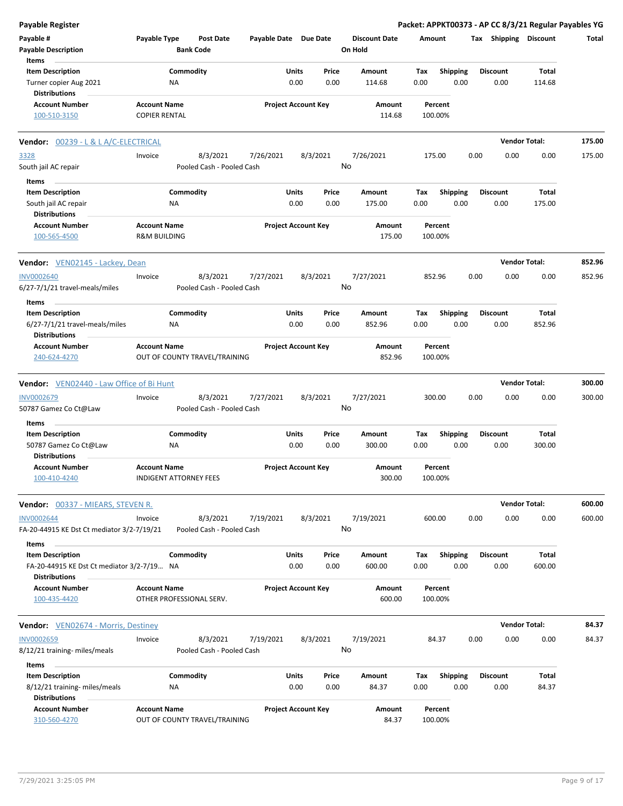| Payable Register                                                      |                                                |                                       |                       |                            |               |                                 |             |                         |                         |      | Packet: APPKT00373 - AP CC 8/3/21 Regular Payables YG |        |
|-----------------------------------------------------------------------|------------------------------------------------|---------------------------------------|-----------------------|----------------------------|---------------|---------------------------------|-------------|-------------------------|-------------------------|------|-------------------------------------------------------|--------|
| Payable #<br><b>Payable Description</b>                               | Payable Type                                   | Post Date<br><b>Bank Code</b>         | Payable Date Due Date |                            |               | <b>Discount Date</b><br>On Hold | Amount      |                         |                         |      | Tax Shipping Discount                                 | Total  |
| Items                                                                 |                                                |                                       |                       |                            |               |                                 |             |                         |                         |      |                                                       |        |
| <b>Item Description</b>                                               |                                                | Commodity                             |                       | Units                      | Price         | Amount                          | Tax         | <b>Shipping</b>         | Discount                |      | Total                                                 |        |
| Turner copier Aug 2021<br><b>Distributions</b>                        |                                                | ΝA                                    |                       | 0.00                       | 0.00          | 114.68                          | 0.00        | 0.00                    | 0.00                    |      | 114.68                                                |        |
| <b>Account Number</b>                                                 | <b>Account Name</b>                            |                                       |                       | <b>Project Account Key</b> |               | Amount                          |             | Percent                 |                         |      |                                                       |        |
| 100-510-3150                                                          | <b>COPIER RENTAL</b>                           |                                       |                       |                            |               | 114.68                          | 100.00%     |                         |                         |      |                                                       |        |
| <b>Vendor: 00239 - L &amp; L A/C-ELECTRICAL</b>                       |                                                |                                       |                       |                            |               |                                 |             |                         |                         |      | <b>Vendor Total:</b>                                  | 175.00 |
| 3328                                                                  | Invoice                                        | 8/3/2021                              | 7/26/2021             | 8/3/2021                   |               | 7/26/2021                       | 175.00      |                         | 0.00                    | 0.00 | 0.00                                                  | 175.00 |
| South jail AC repair                                                  |                                                | Pooled Cash - Pooled Cash             |                       |                            |               | No                              |             |                         |                         |      |                                                       |        |
| Items                                                                 |                                                |                                       |                       |                            |               |                                 |             |                         |                         |      |                                                       |        |
| <b>Item Description</b>                                               |                                                | Commodity                             |                       | Units                      | Price         | Amount                          | Tax         | <b>Shipping</b>         | <b>Discount</b>         |      | Total                                                 |        |
| South jail AC repair                                                  |                                                | ΝA                                    |                       | 0.00                       | 0.00          | 175.00                          | 0.00        | 0.00                    | 0.00                    |      | 175.00                                                |        |
| <b>Distributions</b>                                                  |                                                |                                       |                       |                            |               |                                 |             |                         |                         |      |                                                       |        |
| <b>Account Number</b><br>100-565-4500                                 | <b>Account Name</b><br><b>R&amp;M BUILDING</b> |                                       |                       | <b>Project Account Key</b> |               | Amount<br>175.00                | 100.00%     | Percent                 |                         |      |                                                       |        |
|                                                                       |                                                |                                       |                       |                            |               |                                 |             |                         |                         |      | <b>Vendor Total:</b>                                  | 852.96 |
| <b>Vendor:</b> VEN02145 - Lackey, Dean                                |                                                |                                       |                       |                            |               |                                 |             |                         |                         |      |                                                       |        |
| <b>INV0002640</b><br>6/27-7/1/21 travel-meals/miles                   | Invoice                                        | 8/3/2021<br>Pooled Cash - Pooled Cash | 7/27/2021             | 8/3/2021                   |               | 7/27/2021<br>No                 | 852.96      |                         | 0.00                    | 0.00 | 0.00                                                  | 852.96 |
| Items                                                                 |                                                |                                       |                       |                            |               |                                 |             |                         |                         |      |                                                       |        |
| <b>Item Description</b>                                               |                                                | Commodity                             |                       | Units                      | Price         | Amount                          | Tax         | <b>Shipping</b>         | <b>Discount</b>         |      | Total                                                 |        |
| 6/27-7/1/21 travel-meals/miles<br><b>Distributions</b>                |                                                | ΝA                                    |                       | 0.00                       | 0.00          | 852.96                          | 0.00        | 0.00                    | 0.00                    |      | 852.96                                                |        |
| <b>Account Number</b>                                                 | <b>Account Name</b>                            |                                       |                       | <b>Project Account Key</b> |               | Amount                          |             | Percent                 |                         |      |                                                       |        |
| 240-624-4270                                                          |                                                | OUT OF COUNTY TRAVEL/TRAINING         |                       |                            |               | 852.96                          | 100.00%     |                         |                         |      |                                                       |        |
| <b>Vendor:</b> VEN02440 - Law Office of Bi Hunt                       |                                                |                                       |                       |                            |               |                                 |             |                         |                         |      | <b>Vendor Total:</b>                                  | 300.00 |
| INV0002679                                                            | Invoice                                        | 8/3/2021                              | 7/27/2021             | 8/3/2021                   |               | 7/27/2021                       | 300.00      |                         | 0.00                    | 0.00 | 0.00                                                  | 300.00 |
| 50787 Gamez Co Ct@Law                                                 |                                                | Pooled Cash - Pooled Cash             |                       |                            |               | No                              |             |                         |                         |      |                                                       |        |
| Items                                                                 |                                                |                                       |                       |                            |               |                                 |             |                         |                         |      |                                                       |        |
| <b>Item Description</b>                                               |                                                | Commodity                             |                       | Units                      | Price         | Amount                          | Tax         | <b>Shipping</b>         | <b>Discount</b>         |      | Total                                                 |        |
| 50787 Gamez Co Ct@Law<br><b>Distributions</b>                         |                                                | ΝA                                    |                       | 0.00                       | 0.00          | 300.00                          | 0.00        | 0.00                    | 0.00                    |      | 300.00                                                |        |
| <b>Account Number</b>                                                 | <b>Account Name</b>                            |                                       |                       | <b>Project Account Key</b> |               | Amount                          |             | Percent                 |                         |      |                                                       |        |
| 100-410-4240                                                          |                                                | INDIGENT ATTORNEY FEES                |                       |                            |               | 300.00                          | 100.00%     |                         |                         |      |                                                       |        |
| <b>Vendor: 00337 - MIEARS, STEVEN R.</b>                              |                                                |                                       |                       |                            |               |                                 |             |                         |                         |      | <b>Vendor Total:</b>                                  | 600.00 |
| <b>INV0002644</b><br>FA-20-44915 KE Dst Ct mediator 3/2-7/19/21       | Invoice                                        | 8/3/2021<br>Pooled Cash - Pooled Cash | 7/19/2021             | 8/3/2021                   |               | 7/19/2021<br>No                 | 600.00      |                         | 0.00                    | 0.00 | 0.00                                                  | 600.00 |
| Items                                                                 |                                                |                                       |                       |                            |               |                                 |             |                         |                         |      |                                                       |        |
| <b>Item Description</b><br>FA-20-44915 KE Dst Ct mediator 3/2-7/19 NA |                                                | Commodity                             |                       | Units<br>0.00              | Price<br>0.00 | Amount<br>600.00                | Tax<br>0.00 | <b>Shipping</b><br>0.00 | <b>Discount</b><br>0.00 |      | Total<br>600.00                                       |        |
| <b>Distributions</b>                                                  |                                                |                                       |                       |                            |               |                                 |             |                         |                         |      |                                                       |        |
| <b>Account Number</b><br>100-435-4420                                 | <b>Account Name</b>                            | OTHER PROFESSIONAL SERV.              |                       | <b>Project Account Key</b> |               | Amount<br>600.00                | 100.00%     | Percent                 |                         |      |                                                       |        |
| <b>Vendor:</b> VEN02674 - Morris, Destiney                            |                                                |                                       |                       |                            |               |                                 |             |                         |                         |      | <b>Vendor Total:</b>                                  | 84.37  |
| <b>INV0002659</b>                                                     | Invoice                                        | 8/3/2021                              | 7/19/2021             | 8/3/2021                   |               | 7/19/2021                       |             | 84.37                   | 0.00                    | 0.00 | 0.00                                                  | 84.37  |
| 8/12/21 training- miles/meals                                         |                                                | Pooled Cash - Pooled Cash             |                       |                            |               | No                              |             |                         |                         |      |                                                       |        |
| Items                                                                 |                                                |                                       |                       |                            |               |                                 |             |                         |                         |      |                                                       |        |
| <b>Item Description</b>                                               |                                                | Commodity                             |                       | Units                      | Price         | Amount                          | Tax         | <b>Shipping</b>         | <b>Discount</b>         |      | Total                                                 |        |
| 8/12/21 training- miles/meals                                         |                                                | ΝA                                    |                       | 0.00                       | 0.00          | 84.37                           | 0.00        | 0.00                    | 0.00                    |      | 84.37                                                 |        |
| <b>Distributions</b>                                                  |                                                |                                       |                       |                            |               |                                 |             |                         |                         |      |                                                       |        |
| <b>Account Number</b>                                                 | <b>Account Name</b>                            |                                       |                       | <b>Project Account Key</b> |               | Amount                          |             | Percent                 |                         |      |                                                       |        |
| 310-560-4270                                                          |                                                | OUT OF COUNTY TRAVEL/TRAINING         |                       |                            |               | 84.37                           | 100.00%     |                         |                         |      |                                                       |        |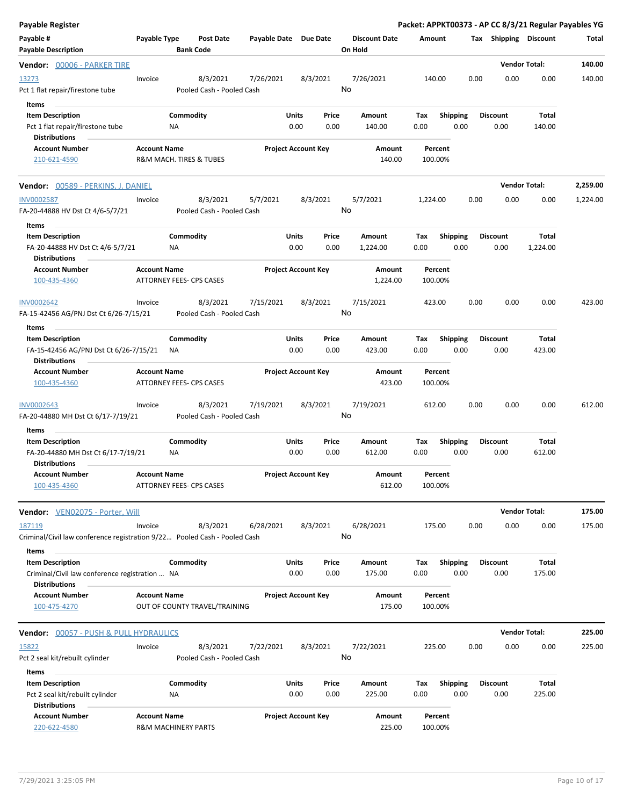| <b>Payable Register</b>                                                                            |                     |                                 |                                       |                       |               |                            |                                 |                    |             |                         |      |                         | Packet: APPKT00373 - AP CC 8/3/21 Regular Payables YG |          |
|----------------------------------------------------------------------------------------------------|---------------------|---------------------------------|---------------------------------------|-----------------------|---------------|----------------------------|---------------------------------|--------------------|-------------|-------------------------|------|-------------------------|-------------------------------------------------------|----------|
| Payable #<br><b>Payable Description</b>                                                            | Payable Type        | <b>Bank Code</b>                | <b>Post Date</b>                      | Payable Date Due Date |               |                            | <b>Discount Date</b><br>On Hold |                    | Amount      |                         |      | Tax Shipping Discount   |                                                       | Total    |
| Vendor: 00006 - PARKER TIRE                                                                        |                     |                                 |                                       |                       |               |                            |                                 |                    |             |                         |      |                         | <b>Vendor Total:</b>                                  | 140.00   |
| 13273<br>Pct 1 flat repair/firestone tube                                                          | Invoice             |                                 | 8/3/2021<br>Pooled Cash - Pooled Cash | 7/26/2021             |               | 8/3/2021                   | 7/26/2021<br>No                 |                    | 140.00      |                         | 0.00 | 0.00                    | 0.00                                                  | 140.00   |
| Items<br><b>Item Description</b><br>Pct 1 flat repair/firestone tube<br><b>Distributions</b>       |                     | Commodity<br>ΝA                 |                                       |                       | Units<br>0.00 | Price<br>0.00              | Amount<br>140.00                |                    | Tax<br>0.00 | <b>Shipping</b><br>0.00 |      | <b>Discount</b><br>0.00 | Total<br>140.00                                       |          |
| <b>Account Number</b><br>210-621-4590                                                              | <b>Account Name</b> | R&M MACH. TIRES & TUBES         |                                       |                       |               | <b>Project Account Key</b> |                                 | Amount<br>140.00   | 100.00%     | Percent                 |      |                         |                                                       |          |
| <b>Vendor:</b> 00589 - PERKINS, J. DANIEL                                                          |                     |                                 |                                       |                       |               |                            |                                 |                    |             |                         |      |                         | <b>Vendor Total:</b>                                  | 2,259.00 |
| <b>INV0002587</b><br>FA-20-44888 HV Dst Ct 4/6-5/7/21<br>Items                                     | Invoice             |                                 | 8/3/2021<br>Pooled Cash - Pooled Cash | 5/7/2021              |               | 8/3/2021                   | 5/7/2021<br>No                  |                    | 1,224.00    |                         | 0.00 | 0.00                    | 0.00                                                  | 1,224.00 |
| <b>Item Description</b><br>FA-20-44888 HV Dst Ct 4/6-5/7/21<br><b>Distributions</b>                |                     | Commodity<br>NA                 |                                       |                       | Units<br>0.00 | Price<br>0.00              | Amount<br>1,224.00              |                    | Tax<br>0.00 | <b>Shipping</b><br>0.00 |      | <b>Discount</b><br>0.00 | Total<br>1,224.00                                     |          |
| <b>Account Number</b><br>100-435-4360                                                              | <b>Account Name</b> | ATTORNEY FEES- CPS CASES        |                                       |                       |               | <b>Project Account Key</b> |                                 | Amount<br>1,224.00 | 100.00%     | Percent                 |      |                         |                                                       |          |
| <b>INV0002642</b><br>FA-15-42456 AG/PNJ Dst Ct 6/26-7/15/21                                        | Invoice             |                                 | 8/3/2021<br>Pooled Cash - Pooled Cash | 7/15/2021             |               | 8/3/2021                   | 7/15/2021<br>No                 |                    | 423.00      |                         | 0.00 | 0.00                    | 0.00                                                  | 423.00   |
| Items<br><b>Item Description</b><br>FA-15-42456 AG/PNJ Dst Ct 6/26-7/15/21<br><b>Distributions</b> |                     | Commodity<br>NA.                |                                       |                       | Units<br>0.00 | Price<br>0.00              | Amount<br>423.00                |                    | Tax<br>0.00 | <b>Shipping</b><br>0.00 |      | <b>Discount</b><br>0.00 | Total<br>423.00                                       |          |
| <b>Account Number</b><br>100-435-4360                                                              | <b>Account Name</b> | ATTORNEY FEES- CPS CASES        |                                       |                       |               | <b>Project Account Key</b> |                                 | Amount<br>423.00   | 100.00%     | Percent                 |      |                         |                                                       |          |
| INV0002643<br>FA-20-44880 MH Dst Ct 6/17-7/19/21                                                   | Invoice             |                                 | 8/3/2021<br>Pooled Cash - Pooled Cash | 7/19/2021             |               | 8/3/2021                   | 7/19/2021<br>No                 |                    | 612.00      |                         | 0.00 | 0.00                    | 0.00                                                  | 612.00   |
| Items                                                                                              |                     |                                 |                                       |                       |               |                            |                                 |                    |             |                         |      |                         |                                                       |          |
| <b>Item Description</b><br>FA-20-44880 MH Dst Ct 6/17-7/19/21<br><b>Distributions</b>              |                     | Commodity<br>ΝA                 |                                       |                       | Units<br>0.00 | Price<br>0.00              | Amount<br>612.00                |                    | Tax<br>0.00 | <b>Shipping</b><br>0.00 |      | Discount<br>0.00        | Total<br>612.00                                       |          |
| <b>Account Number</b><br>100-435-4360                                                              | <b>Account Name</b> | <b>ATTORNEY FEES- CPS CASES</b> |                                       |                       |               | <b>Project Account Key</b> |                                 | Amount<br>612.00   | 100.00%     | Percent                 |      |                         |                                                       |          |
| <b>Vendor:</b> VEN02075 - Porter, Will                                                             |                     |                                 |                                       |                       |               |                            |                                 |                    |             |                         |      |                         | <b>Vendor Total:</b>                                  | 175.00   |
| 187119<br>Criminal/Civil law conference registration 9/22 Pooled Cash - Pooled Cash                | Invoice             |                                 | 8/3/2021                              | 6/28/2021             |               | 8/3/2021                   | 6/28/2021<br>No                 |                    | 175.00      |                         | 0.00 | 0.00                    | 0.00                                                  | 175.00   |
| Items                                                                                              |                     |                                 |                                       |                       |               |                            |                                 |                    |             |                         |      |                         |                                                       |          |
| <b>Item Description</b><br>Criminal/Civil law conference registration  NA<br><b>Distributions</b>  |                     | Commodity                       |                                       |                       | Units<br>0.00 | Price<br>0.00              | Amount<br>175.00                |                    | Тах<br>0.00 | <b>Shipping</b><br>0.00 |      | <b>Discount</b><br>0.00 | Total<br>175.00                                       |          |
| <b>Account Number</b><br>100-475-4270                                                              | <b>Account Name</b> |                                 | OUT OF COUNTY TRAVEL/TRAINING         |                       |               | <b>Project Account Key</b> |                                 | Amount<br>175.00   | 100.00%     | Percent                 |      |                         |                                                       |          |
| <b>Vendor:</b> 00057 - PUSH & PULL HYDRAULICS                                                      |                     |                                 |                                       |                       |               |                            |                                 |                    |             |                         |      |                         | <b>Vendor Total:</b>                                  | 225.00   |
| 15822<br>Pct 2 seal kit/rebuilt cylinder                                                           | Invoice             |                                 | 8/3/2021<br>Pooled Cash - Pooled Cash | 7/22/2021             |               | 8/3/2021                   | 7/22/2021<br>No                 |                    | 225.00      |                         | 0.00 | 0.00                    | 0.00                                                  | 225.00   |
| <b>Items</b>                                                                                       |                     |                                 |                                       |                       |               |                            |                                 |                    |             |                         |      |                         |                                                       |          |
| <b>Item Description</b><br>Pct 2 seal kit/rebuilt cylinder<br><b>Distributions</b>                 |                     | Commodity<br>ΝA                 |                                       |                       | Units<br>0.00 | Price<br>0.00              | Amount<br>225.00                |                    | Tax<br>0.00 | <b>Shipping</b><br>0.00 |      | <b>Discount</b><br>0.00 | Total<br>225.00                                       |          |
| <b>Account Number</b><br>220-622-4580                                                              | <b>Account Name</b> | <b>R&amp;M MACHINERY PARTS</b>  |                                       |                       |               | <b>Project Account Key</b> |                                 | Amount<br>225.00   | 100.00%     | Percent                 |      |                         |                                                       |          |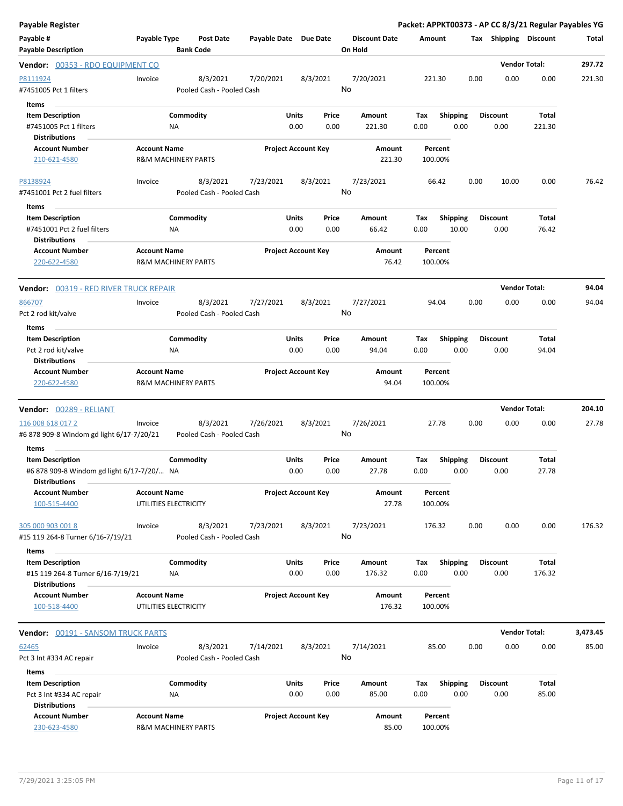| <b>Payable Register</b>                                                                       |                     |                                       |                       |                                |                                 |                    |                          |                         | Packet: APPKT00373 - AP CC 8/3/21 Regular Payables YG |          |
|-----------------------------------------------------------------------------------------------|---------------------|---------------------------------------|-----------------------|--------------------------------|---------------------------------|--------------------|--------------------------|-------------------------|-------------------------------------------------------|----------|
| Payable #<br><b>Payable Description</b>                                                       | Payable Type        | <b>Post Date</b><br><b>Bank Code</b>  | Payable Date Due Date |                                | <b>Discount Date</b><br>On Hold | Amount             |                          | Tax Shipping Discount   |                                                       | Total    |
| Vendor: 00353 - RDO EQUIPMENT CO                                                              |                     |                                       |                       |                                |                                 |                    |                          |                         | <b>Vendor Total:</b>                                  | 297.72   |
| P8111924<br>#7451005 Pct 1 filters                                                            | Invoice             | 8/3/2021<br>Pooled Cash - Pooled Cash | 7/20/2021             | 8/3/2021                       | 7/20/2021<br>No                 | 221.30             | 0.00                     | 0.00                    | 0.00                                                  | 221.30   |
| Items                                                                                         |                     |                                       |                       |                                |                                 |                    |                          |                         |                                                       |          |
| <b>Item Description</b><br>#7451005 Pct 1 filters                                             |                     | Commodity<br>ΝA                       |                       | Units<br>Price<br>0.00<br>0.00 | Amount<br>221.30                | Tax<br>0.00        | <b>Shipping</b><br>0.00  | <b>Discount</b><br>0.00 | <b>Total</b><br>221.30                                |          |
| <b>Distributions</b><br><b>Account Number</b>                                                 | <b>Account Name</b> |                                       |                       | <b>Project Account Key</b>     | Amount                          | Percent            |                          |                         |                                                       |          |
| 210-621-4580                                                                                  |                     | <b>R&amp;M MACHINERY PARTS</b>        |                       |                                | 221.30                          | 100.00%            |                          |                         |                                                       |          |
| P8138924<br>#7451001 Pct 2 fuel filters                                                       | Invoice             | 8/3/2021<br>Pooled Cash - Pooled Cash | 7/23/2021             | 8/3/2021                       | 7/23/2021<br>No                 | 66.42              | 0.00                     | 10.00                   | 0.00                                                  | 76.42    |
| Items                                                                                         |                     |                                       |                       |                                |                                 |                    |                          |                         |                                                       |          |
| <b>Item Description</b><br>#7451001 Pct 2 fuel filters<br><b>Distributions</b>                |                     | Commodity<br><b>NA</b>                |                       | Units<br>Price<br>0.00<br>0.00 | Amount<br>66.42                 | Tax<br>0.00        | <b>Shipping</b><br>10.00 | <b>Discount</b><br>0.00 | <b>Total</b><br>76.42                                 |          |
| <b>Account Number</b><br>220-622-4580                                                         | <b>Account Name</b> | <b>R&amp;M MACHINERY PARTS</b>        |                       | <b>Project Account Key</b>     | Amount<br>76.42                 | Percent<br>100.00% |                          |                         |                                                       |          |
| Vendor: 00319 - RED RIVER TRUCK REPAIR                                                        |                     |                                       |                       |                                |                                 |                    |                          |                         | <b>Vendor Total:</b>                                  | 94.04    |
| 866707                                                                                        | Invoice             | 8/3/2021                              | 7/27/2021             | 8/3/2021                       | 7/27/2021                       | 94.04              | 0.00                     | 0.00                    | 0.00                                                  | 94.04    |
| Pct 2 rod kit/valve                                                                           |                     | Pooled Cash - Pooled Cash             |                       |                                | No                              |                    |                          |                         |                                                       |          |
| Items                                                                                         |                     |                                       |                       |                                |                                 |                    |                          |                         |                                                       |          |
| <b>Item Description</b>                                                                       |                     | Commodity                             |                       | Units<br>Price                 | Amount                          | Tax                | <b>Shipping</b>          | <b>Discount</b>         | Total                                                 |          |
| Pct 2 rod kit/valve<br><b>Distributions</b>                                                   |                     | ΝA                                    |                       | 0.00<br>0.00                   | 94.04                           | 0.00               | 0.00                     | 0.00                    | 94.04                                                 |          |
| <b>Account Number</b><br>220-622-4580                                                         | <b>Account Name</b> | <b>R&amp;M MACHINERY PARTS</b>        |                       | <b>Project Account Key</b>     | Amount<br>94.04                 | Percent<br>100.00% |                          |                         |                                                       |          |
| Vendor: 00289 - RELIANT                                                                       |                     |                                       |                       |                                |                                 |                    |                          |                         | <b>Vendor Total:</b>                                  | 204.10   |
| 116 008 618 017 2<br>#6 878 909-8 Windom gd light 6/17-7/20/21                                | Invoice             | 8/3/2021<br>Pooled Cash - Pooled Cash | 7/26/2021             | 8/3/2021                       | 7/26/2021<br>No                 | 27.78              | 0.00                     | 0.00                    | 0.00                                                  | 27.78    |
| Items                                                                                         |                     |                                       |                       |                                |                                 |                    |                          |                         |                                                       |          |
| <b>Item Description</b><br>#6 878 909-8 Windom gd light 6/17-7/20/ NA<br><b>Distributions</b> |                     | Commodity                             |                       | Units<br>Price<br>0.00<br>0.00 | Amount<br>27.78                 | Тах<br>0.00        | <b>Shipping</b><br>0.00  | <b>Discount</b><br>0.00 | <b>Total</b><br>27.78                                 |          |
| <b>Account Number</b><br>100-515-4400                                                         | <b>Account Name</b> | UTILITIES ELECTRICITY                 |                       | <b>Project Account Key</b>     | Amount<br>27.78                 | Percent<br>100.00% |                          |                         |                                                       |          |
| 305 000 903 001 8<br>#15 119 264-8 Turner 6/16-7/19/21                                        | Invoice             | 8/3/2021<br>Pooled Cash - Pooled Cash | 7/23/2021             | 8/3/2021                       | 7/23/2021<br>No                 | 176.32             | 0.00                     | 0.00                    | 0.00                                                  | 176.32   |
| Items                                                                                         |                     |                                       |                       |                                |                                 |                    |                          |                         |                                                       |          |
| <b>Item Description</b><br>#15 119 264-8 Turner 6/16-7/19/21<br><b>Distributions</b>          |                     | Commodity<br>ΝA                       |                       | Units<br>Price<br>0.00<br>0.00 | Amount<br>176.32                | Тах<br>0.00        | Shipping<br>0.00         | <b>Discount</b><br>0.00 | Total<br>176.32                                       |          |
| <b>Account Number</b>                                                                         | <b>Account Name</b> |                                       |                       | <b>Project Account Key</b>     | Amount                          | Percent            |                          |                         |                                                       |          |
| 100-518-4400                                                                                  |                     | UTILITIES ELECTRICITY                 |                       |                                | 176.32                          | 100.00%            |                          |                         |                                                       |          |
| <b>Vendor: 00191 - SANSOM TRUCK PARTS</b>                                                     |                     |                                       |                       |                                |                                 |                    |                          |                         | <b>Vendor Total:</b>                                  | 3,473.45 |
| 62465                                                                                         | Invoice             | 8/3/2021                              | 7/14/2021             | 8/3/2021                       | 7/14/2021                       | 85.00              | 0.00                     | 0.00                    | 0.00                                                  | 85.00    |
| Pct 3 Int #334 AC repair                                                                      |                     | Pooled Cash - Pooled Cash             |                       |                                | No                              |                    |                          |                         |                                                       |          |
| Items                                                                                         |                     |                                       |                       |                                |                                 |                    |                          |                         |                                                       |          |
| <b>Item Description</b>                                                                       |                     | Commodity                             |                       | Units<br>Price                 | Amount                          | Tax                | <b>Shipping</b>          | <b>Discount</b>         | Total                                                 |          |
| Pct 3 Int #334 AC repair<br><b>Distributions</b>                                              |                     | ΝA                                    |                       | 0.00<br>0.00                   | 85.00                           | 0.00               | 0.00                     | 0.00                    | 85.00                                                 |          |
| <b>Account Number</b><br>230-623-4580                                                         | <b>Account Name</b> | R&M MACHINERY PARTS                   |                       | <b>Project Account Key</b>     | Amount<br>85.00                 | Percent<br>100.00% |                          |                         |                                                       |          |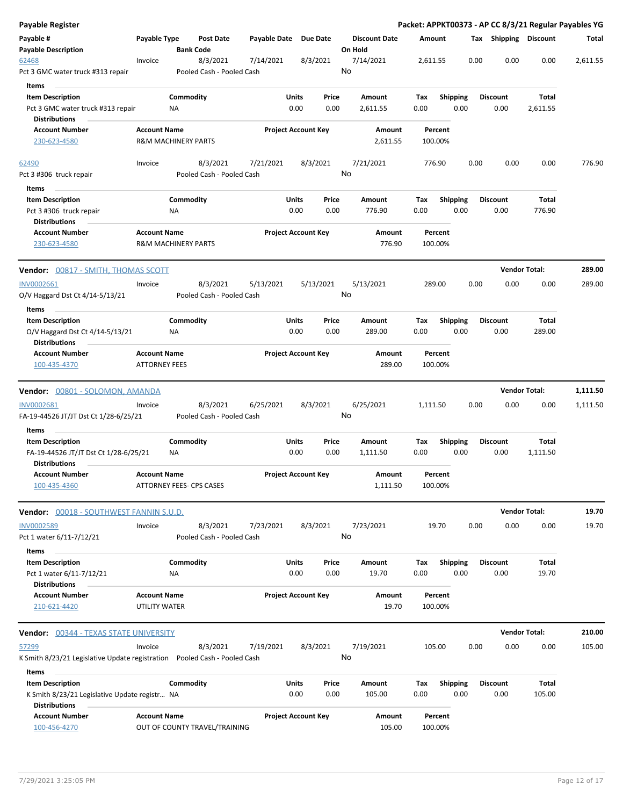| <b>Payable Register</b>                                                                          |                                                       |                        |                                       |                            |                      |               |                                 |             |                         |      |                         | Packet: APPKT00373 - AP CC 8/3/21 Regular Payables YG |          |
|--------------------------------------------------------------------------------------------------|-------------------------------------------------------|------------------------|---------------------------------------|----------------------------|----------------------|---------------|---------------------------------|-------------|-------------------------|------|-------------------------|-------------------------------------------------------|----------|
| Payable #<br><b>Payable Description</b>                                                          | Payable Type                                          | <b>Bank Code</b>       | <b>Post Date</b>                      | Payable Date Due Date      |                      |               | <b>Discount Date</b><br>On Hold |             | Amount                  |      | Tax Shipping Discount   |                                                       | Total    |
| 62468<br>Pct 3 GMC water truck #313 repair                                                       | Invoice                                               |                        | 8/3/2021<br>Pooled Cash - Pooled Cash | 7/14/2021                  |                      | 8/3/2021      | 7/14/2021<br>No                 |             | 2,611.55                | 0.00 | 0.00                    | 0.00                                                  | 2,611.55 |
| <b>Items</b>                                                                                     |                                                       |                        |                                       |                            |                      |               |                                 |             |                         |      |                         |                                                       |          |
| <b>Item Description</b><br>Pct 3 GMC water truck #313 repair                                     |                                                       | Commodity<br>ΝA        |                                       |                            | Units<br>0.00        | Price<br>0.00 | Amount<br>2,611.55              | Tax<br>0.00 | <b>Shipping</b><br>0.00 |      | <b>Discount</b><br>0.00 | Total<br>2,611.55                                     |          |
| Distributions                                                                                    |                                                       |                        |                                       |                            |                      |               |                                 |             |                         |      |                         |                                                       |          |
| <b>Account Number</b><br>230-623-4580                                                            | <b>Account Name</b><br><b>R&amp;M MACHINERY PARTS</b> |                        |                                       | <b>Project Account Key</b> |                      |               | Amount<br>2,611.55              |             | Percent<br>100.00%      |      |                         |                                                       |          |
| 62490                                                                                            | Invoice                                               |                        | 8/3/2021                              | 7/21/2021                  |                      | 8/3/2021      | 7/21/2021<br>No                 |             | 776.90                  | 0.00 | 0.00                    | 0.00                                                  | 776.90   |
| Pct 3 #306 truck repair                                                                          |                                                       |                        | Pooled Cash - Pooled Cash             |                            |                      |               |                                 |             |                         |      |                         |                                                       |          |
| Items                                                                                            |                                                       |                        |                                       |                            |                      |               |                                 |             |                         |      |                         |                                                       |          |
| <b>Item Description</b><br>Pct 3 #306 truck repair<br><b>Distributions</b>                       |                                                       | Commodity<br><b>NA</b> |                                       |                            | Units<br>0.00        | Price<br>0.00 | Amount<br>776.90                | Tax<br>0.00 | <b>Shipping</b><br>0.00 |      | <b>Discount</b><br>0.00 | Total<br>776.90                                       |          |
| <b>Account Number</b><br>230-623-4580                                                            | <b>Account Name</b><br><b>R&amp;M MACHINERY PARTS</b> |                        |                                       | <b>Project Account Key</b> |                      |               | Amount<br>776.90                |             | Percent<br>100.00%      |      |                         |                                                       |          |
| Vendor: 00817 - SMITH, THOMAS SCOTT                                                              |                                                       |                        |                                       |                            |                      |               |                                 |             |                         |      |                         | <b>Vendor Total:</b>                                  | 289.00   |
| INV0002661                                                                                       | Invoice                                               |                        | 8/3/2021                              | 5/13/2021                  |                      | 5/13/2021     | 5/13/2021                       |             | 289.00                  | 0.00 | 0.00                    | 0.00                                                  | 289.00   |
| O/V Haggard Dst Ct 4/14-5/13/21                                                                  |                                                       |                        | Pooled Cash - Pooled Cash             |                            |                      |               | No                              |             |                         |      |                         |                                                       |          |
| Items                                                                                            |                                                       |                        |                                       |                            |                      |               |                                 |             |                         |      |                         |                                                       |          |
| <b>Item Description</b><br>O/V Haggard Dst Ct 4/14-5/13/21                                       |                                                       | Commodity<br>NA        |                                       |                            | Units<br>0.00        | Price<br>0.00 | Amount<br>289.00                | Tax<br>0.00 | <b>Shipping</b><br>0.00 |      | <b>Discount</b><br>0.00 | Total<br>289.00                                       |          |
| <b>Distributions</b><br><b>Account Number</b>                                                    | <b>Account Name</b>                                   |                        |                                       | <b>Project Account Key</b> |                      |               | Amount                          |             | Percent                 |      |                         |                                                       |          |
| 100-435-4370                                                                                     | <b>ATTORNEY FEES</b>                                  |                        |                                       |                            |                      |               | 289.00                          |             | 100.00%                 |      |                         |                                                       |          |
| <b>Vendor:</b> 00801 - SOLOMON, AMANDA                                                           |                                                       |                        |                                       |                            |                      |               |                                 |             |                         |      |                         | <b>Vendor Total:</b>                                  | 1,111.50 |
| INV0002681<br>FA-19-44526 JT/JT Dst Ct 1/28-6/25/21                                              | Invoice                                               |                        | 8/3/2021<br>Pooled Cash - Pooled Cash | 6/25/2021                  |                      | 8/3/2021      | 6/25/2021<br>No                 |             | 1,111.50                | 0.00 | 0.00                    | 0.00                                                  | 1,111.50 |
| Items                                                                                            |                                                       |                        |                                       |                            |                      |               |                                 |             |                         |      |                         |                                                       |          |
| <b>Item Description</b><br>FA-19-44526 JT/JT Dst Ct 1/28-6/25/21<br>Distributions                |                                                       | Commodity<br>ΝA        |                                       |                            | Units<br>0.00        | Price<br>0.00 | Amount<br>1,111.50              | Tax<br>0.00 | <b>Shipping</b><br>0.00 |      | <b>Discount</b><br>0.00 | Total<br>1,111.50                                     |          |
| <b>Account Number</b><br>100-435-4360                                                            | <b>Account Name</b><br>ATTORNEY FEES- CPS CASES       |                        |                                       | <b>Project Account Key</b> |                      |               | Amount<br>1,111.50              |             | Percent<br>100.00%      |      |                         |                                                       |          |
| Vendor: 00018 - SOUTHWEST FANNIN S.U.D.                                                          |                                                       |                        |                                       |                            |                      |               |                                 |             |                         |      |                         | <b>Vendor Total:</b>                                  | 19.70    |
| <b>INV0002589</b>                                                                                | Invoice                                               |                        | 8/3/2021                              | 7/23/2021                  |                      | 8/3/2021      | 7/23/2021                       |             | 19.70                   | 0.00 | 0.00                    | 0.00                                                  | 19.70    |
| Pct 1 water 6/11-7/12/21                                                                         |                                                       |                        | Pooled Cash - Pooled Cash             |                            |                      |               | No                              |             |                         |      |                         |                                                       |          |
| Items                                                                                            |                                                       |                        |                                       |                            |                      |               |                                 |             |                         |      |                         |                                                       |          |
| <b>Item Description</b>                                                                          |                                                       | Commodity              |                                       |                            | Units                | Price         | Amount                          | Тах         | <b>Shipping</b>         |      | <b>Discount</b>         | Total                                                 |          |
| Pct 1 water 6/11-7/12/21<br><b>Distributions</b>                                                 |                                                       | NA                     |                                       |                            | 0.00                 | 0.00          | 19.70                           | 0.00        | 0.00                    |      | 0.00                    | 19.70                                                 |          |
| <b>Account Number</b>                                                                            | <b>Account Name</b>                                   |                        |                                       | <b>Project Account Key</b> |                      |               | Amount                          |             | Percent                 |      |                         |                                                       |          |
| 210-621-4420                                                                                     | <b>UTILITY WATER</b>                                  |                        |                                       |                            |                      |               | 19.70                           |             | 100.00%                 |      |                         |                                                       |          |
| Vendor: 00344 - TEXAS STATE UNIVERSITY                                                           |                                                       |                        |                                       |                            |                      |               |                                 |             |                         |      |                         | <b>Vendor Total:</b>                                  | 210.00   |
| 57299                                                                                            | Invoice                                               |                        | 8/3/2021                              | 7/19/2021                  |                      | 8/3/2021      | 7/19/2021                       |             | 105.00                  | 0.00 | 0.00                    | 0.00                                                  | 105.00   |
| K Smith 8/23/21 Legislative Update registration Pooled Cash - Pooled Cash                        |                                                       |                        |                                       |                            |                      |               | No                              |             |                         |      |                         |                                                       |          |
| Items                                                                                            |                                                       |                        |                                       |                            |                      |               |                                 |             |                         |      |                         |                                                       |          |
| <b>Item Description</b><br>K Smith 8/23/21 Legislative Update registr NA<br><b>Distributions</b> |                                                       | Commodity              |                                       |                            | <b>Units</b><br>0.00 | Price<br>0.00 | Amount<br>105.00                | Tax<br>0.00 | <b>Shipping</b><br>0.00 |      | <b>Discount</b><br>0.00 | Total<br>105.00                                       |          |
| <b>Account Number</b>                                                                            | <b>Account Name</b>                                   |                        |                                       | <b>Project Account Key</b> |                      |               | Amount                          |             | Percent                 |      |                         |                                                       |          |
| 100-456-4270                                                                                     |                                                       |                        | OUT OF COUNTY TRAVEL/TRAINING         |                            |                      |               | 105.00                          |             | 100.00%                 |      |                         |                                                       |          |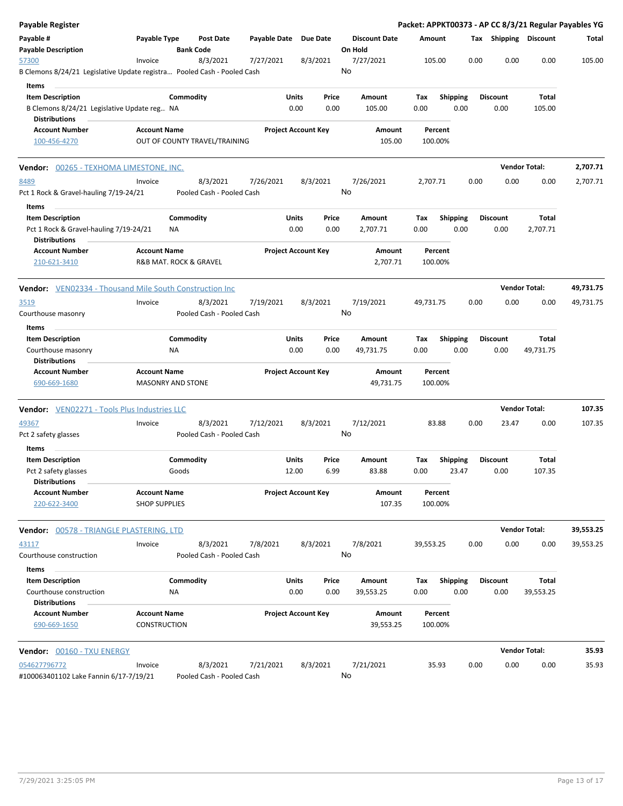| <b>Payable Register</b>                                                    |                                             |                               |                                       |                       |                            |               |                                 |                     |                    |                         |      |                         |                      | Packet: APPKT00373 - AP CC 8/3/21 Regular Payables YG |
|----------------------------------------------------------------------------|---------------------------------------------|-------------------------------|---------------------------------------|-----------------------|----------------------------|---------------|---------------------------------|---------------------|--------------------|-------------------------|------|-------------------------|----------------------|-------------------------------------------------------|
| Payable #<br><b>Payable Description</b>                                    | Payable Type                                | <b>Bank Code</b>              | Post Date                             | Payable Date Due Date |                            |               | <b>Discount Date</b><br>On Hold |                     | Amount             |                         |      | Tax Shipping Discount   |                      | Total                                                 |
| 57300                                                                      | Invoice                                     |                               | 8/3/2021                              | 7/27/2021             |                            | 8/3/2021      | 7/27/2021                       |                     | 105.00             |                         | 0.00 | 0.00                    | 0.00                 | 105.00                                                |
| B Clemons 8/24/21 Legislative Update registra Pooled Cash - Pooled Cash    |                                             |                               |                                       |                       |                            |               | No                              |                     |                    |                         |      |                         |                      |                                                       |
| Items                                                                      |                                             |                               |                                       |                       |                            |               |                                 |                     |                    |                         |      |                         |                      |                                                       |
| <b>Item Description</b>                                                    |                                             | Commodity                     |                                       |                       | Units                      | Price         | Amount                          |                     | Tax                | <b>Shipping</b>         |      | <b>Discount</b>         | Total                |                                                       |
| B Clemons 8/24/21 Legislative Update reg NA<br><b>Distributions</b>        |                                             |                               |                                       |                       | 0.00                       | 0.00          |                                 | 105.00              | 0.00               | 0.00                    |      | 0.00                    | 105.00               |                                                       |
| <b>Account Number</b><br>100-456-4270                                      | <b>Account Name</b>                         | OUT OF COUNTY TRAVEL/TRAINING |                                       |                       | <b>Project Account Key</b> |               |                                 | Amount<br>105.00    | Percent<br>100.00% |                         |      |                         |                      |                                                       |
| <b>Vendor:</b> 00265 - TEXHOMA LIMESTONE, INC.                             |                                             |                               |                                       |                       |                            |               |                                 |                     |                    |                         |      |                         | <b>Vendor Total:</b> | 2,707.71                                              |
| 8489<br>Pct 1 Rock & Gravel-hauling 7/19-24/21                             | Invoice                                     |                               | 8/3/2021<br>Pooled Cash - Pooled Cash | 7/26/2021             |                            | 8/3/2021      | 7/26/2021<br>No                 |                     | 2,707.71           |                         | 0.00 | 0.00                    | 0.00                 | 2,707.71                                              |
| Items<br><b>Item Description</b><br>Pct 1 Rock & Gravel-hauling 7/19-24/21 |                                             | Commodity<br>ΝA               |                                       |                       | Units<br>0.00              | Price<br>0.00 | Amount<br>2,707.71              |                     | Tax<br>0.00        | <b>Shipping</b><br>0.00 |      | <b>Discount</b><br>0.00 | Total<br>2,707.71    |                                                       |
| <b>Distributions</b><br><b>Account Number</b><br>210-621-3410              | <b>Account Name</b>                         | R&B MAT. ROCK & GRAVEL        |                                       |                       | <b>Project Account Key</b> |               |                                 | Amount<br>2,707.71  | Percent<br>100.00% |                         |      |                         |                      |                                                       |
| <b>Vendor:</b> VEN02334 - Thousand Mile South Construction Inc             |                                             |                               |                                       |                       |                            |               |                                 |                     |                    |                         |      |                         | <b>Vendor Total:</b> | 49,731.75                                             |
| 3519                                                                       | Invoice                                     |                               | 8/3/2021                              | 7/19/2021             |                            | 8/3/2021      | 7/19/2021                       |                     | 49,731.75          |                         | 0.00 | 0.00                    | 0.00                 | 49,731.75                                             |
| Courthouse masonry                                                         |                                             |                               | Pooled Cash - Pooled Cash             |                       |                            |               | No                              |                     |                    |                         |      |                         |                      |                                                       |
| Items                                                                      |                                             | Commodity                     |                                       |                       | Units                      | Price         | Amount                          |                     |                    | <b>Shipping</b>         |      | <b>Discount</b>         | Total                |                                                       |
| <b>Item Description</b><br>Courthouse masonry<br><b>Distributions</b>      |                                             | <b>NA</b>                     |                                       |                       | 0.00                       | 0.00          | 49,731.75                       |                     | Tax<br>0.00        | 0.00                    |      | 0.00                    | 49,731.75            |                                                       |
| <b>Account Number</b><br>690-669-1680                                      | <b>Account Name</b>                         | <b>MASONRY AND STONE</b>      |                                       |                       | <b>Project Account Key</b> |               |                                 | Amount<br>49,731.75 | Percent<br>100.00% |                         |      |                         |                      |                                                       |
| <b>Vendor:</b> VEN02271 - Tools Plus Industries LLC                        |                                             |                               |                                       |                       |                            |               |                                 |                     |                    |                         |      |                         | <b>Vendor Total:</b> | 107.35                                                |
| 49367<br>Pct 2 safety glasses                                              | Invoice                                     |                               | 8/3/2021<br>Pooled Cash - Pooled Cash | 7/12/2021             |                            | 8/3/2021      | 7/12/2021<br>No                 |                     | 83.88              |                         | 0.00 | 23.47                   | 0.00                 | 107.35                                                |
| Items<br><b>Item Description</b>                                           |                                             | Commodity                     |                                       |                       | Units                      | Price         | Amount                          |                     | Tax                | <b>Shipping</b>         |      | <b>Discount</b>         | Total                |                                                       |
| Pct 2 safety glasses<br><b>Distributions</b>                               |                                             | Goods                         |                                       |                       | 12.00                      | 6.99          |                                 | 83.88               | 0.00               | 23.47                   |      | 0.00                    | 107.35               |                                                       |
| <b>Account Number</b><br>220-622-3400                                      | <b>Account Name</b><br><b>SHOP SUPPLIES</b> |                               |                                       |                       | <b>Project Account Key</b> |               |                                 | Amount<br>107.35    | Percent<br>100.00% |                         |      |                         |                      |                                                       |
| Vendor: 00578 - TRIANGLE PLASTERING, LTD                                   |                                             |                               |                                       |                       |                            |               |                                 |                     |                    |                         |      |                         | <b>Vendor Total:</b> | 39,553.25                                             |
| 43117<br>Courthouse construction                                           | Invoice                                     |                               | 8/3/2021<br>Pooled Cash - Pooled Cash | 7/8/2021              |                            | 8/3/2021      | 7/8/2021<br>No                  |                     | 39,553.25          |                         | 0.00 | 0.00                    | 0.00                 | 39,553.25                                             |
| Items                                                                      |                                             |                               |                                       |                       |                            |               |                                 |                     |                    |                         |      |                         |                      |                                                       |
| <b>Item Description</b><br>Courthouse construction<br><b>Distributions</b> |                                             | Commodity<br>NA               |                                       |                       | Units<br>0.00              | Price<br>0.00 | Amount<br>39,553.25             |                     | Tax<br>0.00        | <b>Shipping</b><br>0.00 |      | <b>Discount</b><br>0.00 | Total<br>39,553.25   |                                                       |
| <b>Account Number</b><br>690-669-1650                                      | <b>Account Name</b><br><b>CONSTRUCTION</b>  |                               |                                       |                       | <b>Project Account Key</b> |               |                                 | Amount<br>39,553.25 | Percent<br>100.00% |                         |      |                         |                      |                                                       |
| Vendor: 00160 - TXU ENERGY                                                 |                                             |                               |                                       |                       |                            |               |                                 |                     |                    |                         |      |                         | <b>Vendor Total:</b> | 35.93                                                 |
| 054627796772<br>#100063401102 Lake Fannin 6/17-7/19/21                     | Invoice                                     |                               | 8/3/2021<br>Pooled Cash - Pooled Cash | 7/21/2021             |                            | 8/3/2021      | 7/21/2021<br>No                 |                     | 35.93              |                         | 0.00 | 0.00                    | 0.00                 | 35.93                                                 |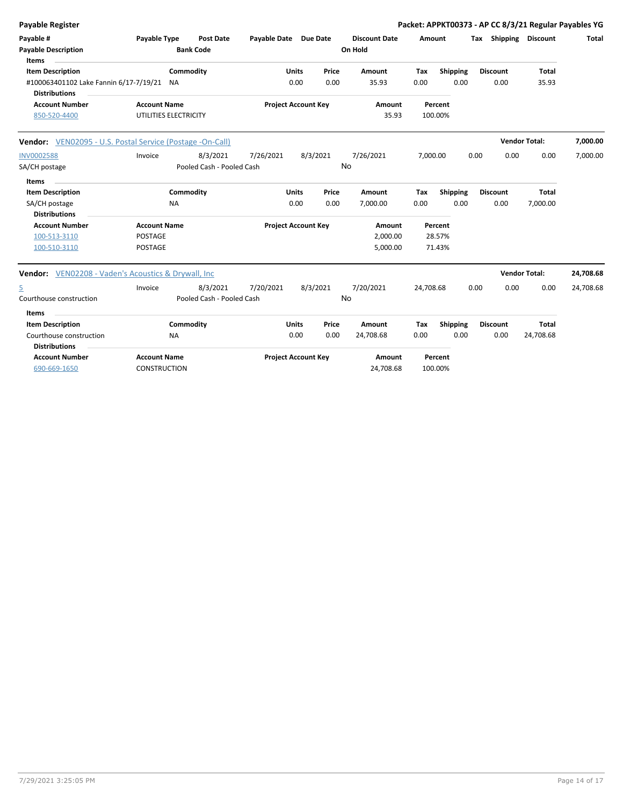| <b>Payable Register</b>                                           |                       |                           |                       |                            |          |                      |           |          |      |                              |                      | Packet: APPKT00373 - AP CC 8/3/21 Regular Payables YG |
|-------------------------------------------------------------------|-----------------------|---------------------------|-----------------------|----------------------------|----------|----------------------|-----------|----------|------|------------------------------|----------------------|-------------------------------------------------------|
| Payable #                                                         | Payable Type          | <b>Post Date</b>          | Payable Date Due Date |                            |          | <b>Discount Date</b> | Amount    |          |      | <b>Tax Shipping Discount</b> |                      | <b>Total</b>                                          |
| <b>Payable Description</b>                                        |                       | <b>Bank Code</b>          |                       |                            |          | On Hold              |           |          |      |                              |                      |                                                       |
| Items<br><b>Item Description</b>                                  |                       | Commodity                 |                       | Units                      | Price    | Amount               | Tax       | Shipping |      | <b>Discount</b>              | Total                |                                                       |
| #100063401102 Lake Fannin 6/17-7/19/21 NA<br><b>Distributions</b> |                       |                           |                       | 0.00                       | 0.00     | 35.93                | 0.00      | 0.00     |      | 0.00                         | 35.93                |                                                       |
| <b>Account Number</b>                                             | <b>Account Name</b>   |                           |                       | <b>Project Account Key</b> |          | Amount               |           | Percent  |      |                              |                      |                                                       |
| 850-520-4400                                                      | UTILITIES ELECTRICITY |                           |                       |                            |          | 35.93                |           | 100.00%  |      |                              |                      |                                                       |
| <b>Vendor:</b> VEN02095 - U.S. Postal Service (Postage -On-Call)  |                       |                           |                       |                            |          |                      |           |          |      |                              | <b>Vendor Total:</b> | 7,000.00                                              |
| <b>INV0002588</b>                                                 | Invoice               | 8/3/2021                  | 7/26/2021             |                            | 8/3/2021 | 7/26/2021            | 7,000.00  |          | 0.00 | 0.00                         | 0.00                 | 7,000.00                                              |
| SA/CH postage                                                     |                       | Pooled Cash - Pooled Cash |                       |                            | No       |                      |           |          |      |                              |                      |                                                       |
| Items                                                             |                       |                           |                       |                            |          |                      |           |          |      |                              |                      |                                                       |
| <b>Item Description</b>                                           |                       | Commodity                 |                       | <b>Units</b>               | Price    | Amount               | Tax       | Shipping |      | <b>Discount</b>              | <b>Total</b>         |                                                       |
| SA/CH postage                                                     | <b>NA</b>             |                           |                       | 0.00                       | 0.00     | 7,000.00             | 0.00      | 0.00     |      | 0.00                         | 7,000.00             |                                                       |
| <b>Distributions</b>                                              |                       |                           |                       |                            |          |                      |           |          |      |                              |                      |                                                       |
| <b>Account Number</b>                                             | <b>Account Name</b>   |                           |                       | <b>Project Account Key</b> |          | Amount               |           | Percent  |      |                              |                      |                                                       |
| 100-513-3110                                                      | POSTAGE               |                           |                       |                            |          | 2,000.00             |           | 28.57%   |      |                              |                      |                                                       |
| 100-510-3110                                                      | <b>POSTAGE</b>        |                           |                       |                            |          | 5,000.00             |           | 71.43%   |      |                              |                      |                                                       |
| <b>Vendor:</b> VEN02208 - Vaden's Acoustics & Drywall, Inc.       |                       |                           |                       |                            |          |                      |           |          |      |                              | <b>Vendor Total:</b> | 24,708.68                                             |
| $\overline{5}$                                                    | Invoice               | 8/3/2021                  | 7/20/2021             |                            | 8/3/2021 | 7/20/2021            | 24,708.68 |          | 0.00 | 0.00                         | 0.00                 | 24,708.68                                             |
| Courthouse construction                                           |                       | Pooled Cash - Pooled Cash |                       |                            | No       |                      |           |          |      |                              |                      |                                                       |
| Items                                                             |                       |                           |                       |                            |          |                      |           |          |      |                              |                      |                                                       |
| <b>Item Description</b>                                           |                       | Commodity                 |                       | <b>Units</b>               | Price    | Amount               | Tax       | Shipping |      | <b>Discount</b>              | <b>Total</b>         |                                                       |
| Courthouse construction                                           | <b>NA</b>             |                           |                       | 0.00                       | 0.00     | 24,708.68            | 0.00      | 0.00     |      | 0.00                         | 24,708.68            |                                                       |
| <b>Distributions</b>                                              |                       |                           |                       |                            |          |                      |           |          |      |                              |                      |                                                       |
| <b>Account Number</b>                                             | <b>Account Name</b>   |                           |                       | <b>Project Account Key</b> |          | Amount               |           | Percent  |      |                              |                      |                                                       |
| 690-669-1650                                                      | <b>CONSTRUCTION</b>   |                           |                       |                            |          | 24,708.68            |           | 100.00%  |      |                              |                      |                                                       |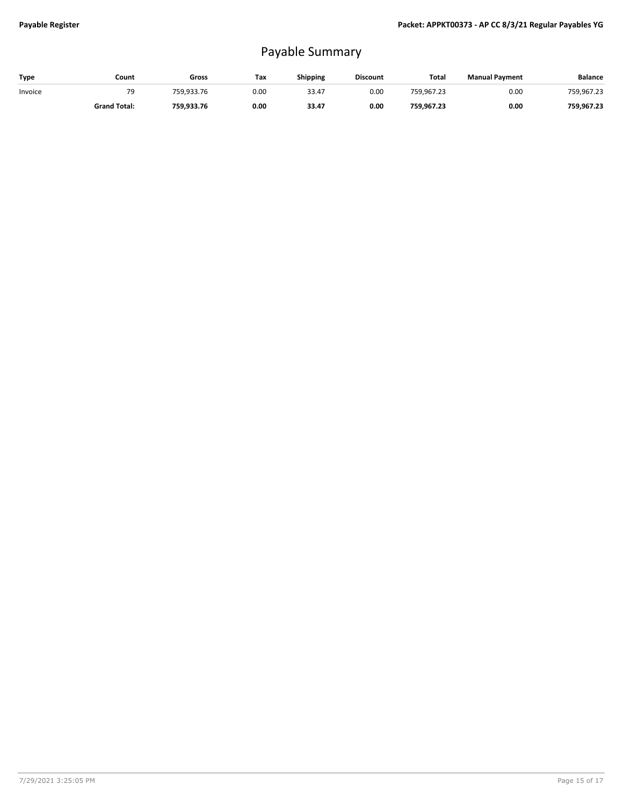## Payable Summary

| Type    | Count               | Gross      | Тах  | <b>Shipping</b> | <b>Discount</b> | Total      | <b>Manual Payment</b> | <b>Balance</b> |
|---------|---------------------|------------|------|-----------------|-----------------|------------|-----------------------|----------------|
| Invoice | 79                  | 759.933.76 | 0.00 | 33.47           | 0.00            | 759.967.23 | 0.00                  | 759,967.23     |
|         | <b>Grand Total:</b> | 759.933.76 | 0.00 | 33.47           | 0.00            | 759.967.23 | 0.00                  | 759.967.23     |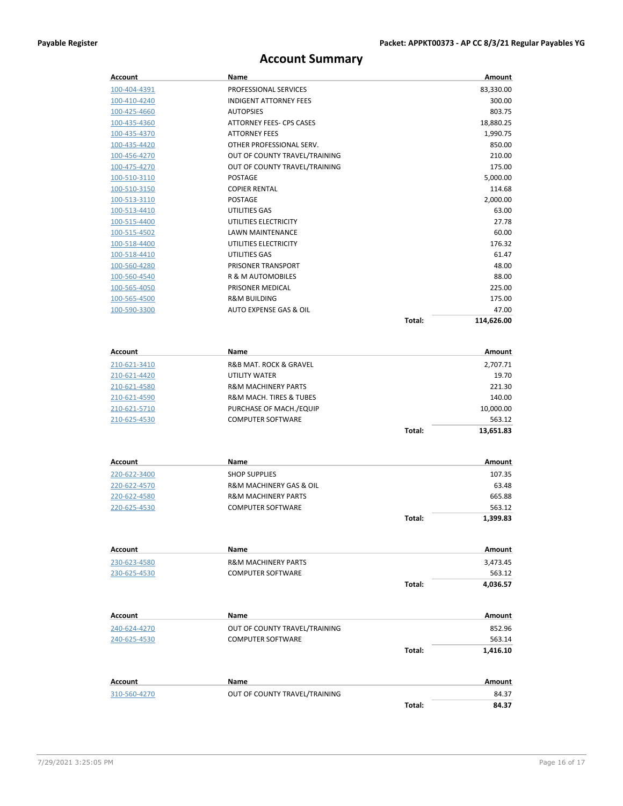#### **Account Summary**

| <b>Account</b>      | Name                           |        | Amount        |
|---------------------|--------------------------------|--------|---------------|
| 100-404-4391        | PROFESSIONAL SERVICES          |        | 83,330.00     |
| 100-410-4240        | <b>INDIGENT ATTORNEY FEES</b>  |        | 300.00        |
| 100-425-4660        | <b>AUTOPSIES</b>               |        | 803.75        |
| 100-435-4360        | ATTORNEY FEES- CPS CASES       |        | 18,880.25     |
| <u>100-435-4370</u> | <b>ATTORNEY FEES</b>           |        | 1,990.75      |
| 100-435-4420        | OTHER PROFESSIONAL SERV.       |        | 850.00        |
| 100-456-4270        | OUT OF COUNTY TRAVEL/TRAINING  |        | 210.00        |
| 100-475-4270        | OUT OF COUNTY TRAVEL/TRAINING  |        | 175.00        |
| 100-510-3110        | <b>POSTAGE</b>                 |        | 5,000.00      |
| <u>100-510-3150</u> | <b>COPIER RENTAL</b>           |        | 114.68        |
| 100-513-3110        | <b>POSTAGE</b>                 |        | 2,000.00      |
| 100-513-4410        | UTILITIES GAS                  |        | 63.00         |
| 100-515-4400        | UTILITIES ELECTRICITY          |        | 27.78         |
| 100-515-4502        | LAWN MAINTENANCE               |        | 60.00         |
| <u>100-518-4400</u> | UTILITIES ELECTRICITY          |        | 176.32        |
| 100-518-4410        | UTILITIES GAS                  |        | 61.47         |
| 100-560-4280        | PRISONER TRANSPORT             |        | 48.00         |
| 100-560-4540        | R & M AUTOMOBILES              |        | 88.00         |
| 100-565-4050        | PRISONER MEDICAL               |        | 225.00        |
| 100-565-4500        | <b>R&amp;M BUILDING</b>        |        | 175.00        |
| 100-590-3300        | AUTO EXPENSE GAS & OIL         |        | 47.00         |
|                     |                                | Total: | 114,626.00    |
|                     |                                |        |               |
| Account             | Name                           |        | Amount        |
| 210-621-3410        | R&B MAT. ROCK & GRAVEL         |        | 2,707.71      |
| 210-621-4420        | UTILITY WATER                  |        | 19.70         |
| 210-621-4580        | <b>R&amp;M MACHINERY PARTS</b> |        | 221.30        |
| 210-621-4590        | R&M MACH. TIRES & TUBES        |        | 140.00        |
| <u>210-621-5710</u> | PURCHASE OF MACH./EQUIP        |        | 10,000.00     |
| 210-625-4530        | <b>COMPUTER SOFTWARE</b>       |        | 563.12        |
|                     |                                | Total: | 13,651.83     |
|                     |                                |        |               |
| Account             | Name                           |        | Amount        |
| 220-622-3400        | <b>SHOP SUPPLIES</b>           |        | 107.35        |
| 220-622-4570        | R&M MACHINERY GAS & OIL        |        | 63.48         |
| 220-622-4580        | <b>R&amp;M MACHINERY PARTS</b> |        | 665.88        |
| 220-625-4530        | <b>COMPUTER SOFTWARE</b>       |        | 563.12        |
|                     |                                | Total: | 1,399.83      |
|                     |                                |        |               |
| Account             | Name                           |        | <b>Amount</b> |
| 230-623-4580        | <b>R&amp;M MACHINERY PARTS</b> |        | 3,473.45      |
| 230-625-4530        | <b>COMPUTER SOFTWARE</b>       |        | 563.12        |
|                     |                                | Total: | 4,036.57      |
|                     |                                |        |               |
| Account             | Name                           |        | Amount        |
| 240-624-4270        | OUT OF COUNTY TRAVEL/TRAINING  |        | 852.96        |
| 240-625-4530        | <b>COMPUTER SOFTWARE</b>       |        | 563.14        |
|                     |                                | Total: | 1,416.10      |
|                     |                                |        |               |
| Account             | Name                           |        | Amount        |
| 310-560-4270        | OUT OF COUNTY TRAVEL/TRAINING  |        | 84.37         |
|                     |                                | Total: | 84.37         |